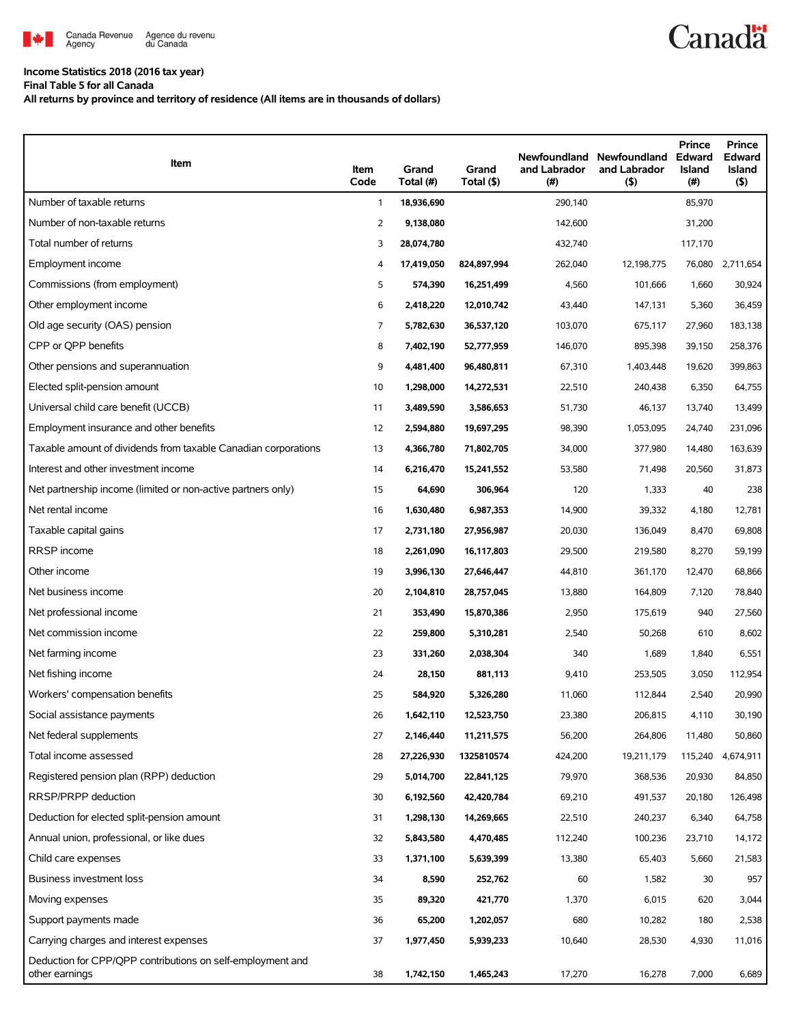

## **Income Statistics 2018 (2016 tax year)**

**Final Table 5 for all Canada**

**All returns by province and territory of residence (All items are in thousands of dollars)**

| Item                                                                         | Item<br>Code | Grand<br>Total (#) | Grand<br>Total (\$) | Newfoundland<br>and Labrador<br>(#) | Newfoundland<br>and Labrador<br>$($ \$) | Prince<br>Edward<br><b>Island</b><br>$($ # $)$ | Prince<br>Edward<br><b>Island</b><br>$($ \$) |
|------------------------------------------------------------------------------|--------------|--------------------|---------------------|-------------------------------------|-----------------------------------------|------------------------------------------------|----------------------------------------------|
| Number of taxable returns                                                    | $\mathbf{1}$ | 18,936,690         |                     | 290,140                             |                                         | 85,970                                         |                                              |
| Number of non-taxable returns                                                | 2            | 9,138,080          |                     | 142,600                             |                                         | 31,200                                         |                                              |
| Total number of returns                                                      | 3            | 28,074,780         |                     | 432,740                             |                                         | 117,170                                        |                                              |
| Employment income                                                            | 4            | 17,419,050         | 824,897,994         | 262,040                             | 12,198,775                              | 76,080                                         | 2,711,654                                    |
| Commissions (from employment)                                                | 5            | 574,390            | 16,251,499          | 4,560                               | 101,666                                 | 1,660                                          | 30,924                                       |
| Other employment income                                                      | 6            | 2,418,220          | 12,010,742          | 43,440                              | 147,131                                 | 5,360                                          | 36,459                                       |
| Old age security (OAS) pension                                               | 7            | 5,782,630          | 36,537,120          | 103,070                             | 675,117                                 | 27,960                                         | 183,138                                      |
| CPP or OPP benefits                                                          | 8            | 7,402,190          | 52,777,959          | 146,070                             | 895,398                                 | 39,150                                         | 258,376                                      |
| Other pensions and superannuation                                            | 9            | 4,481,400          | 96,480,811          | 67,310                              | 1,403,448                               | 19,620                                         | 399,863                                      |
| Elected split-pension amount                                                 | 10           | 1,298,000          | 14,272,531          | 22,510                              | 240,438                                 | 6,350                                          | 64,755                                       |
| Universal child care benefit (UCCB)                                          | 11           | 3,489,590          | 3,586,653           | 51,730                              | 46,137                                  | 13,740                                         | 13,499                                       |
| Employment insurance and other benefits                                      | 12           | 2,594,880          | 19,697,295          | 98,390                              | 1,053,095                               | 24,740                                         | 231,096                                      |
| Taxable amount of dividends from taxable Canadian corporations               | 13           | 4,366,780          | 71,802,705          | 34,000                              | 377,980                                 | 14,480                                         | 163,639                                      |
| Interest and other investment income                                         | 14           | 6,216,470          | 15,241,552          | 53,580                              | 71,498                                  | 20,560                                         | 31,873                                       |
| Net partnership income (limited or non-active partners only)                 | 15           | 64,690             | 306,964             | 120                                 | 1,333                                   | 40                                             | 238                                          |
| Net rental income                                                            | 16           | 1,630,480          | 6,987,353           | 14,900                              | 39,332                                  | 4,180                                          | 12,781                                       |
| Taxable capital gains                                                        | 17           | 2,731,180          | 27,956,987          | 20,030                              | 136,049                                 | 8,470                                          | 69,808                                       |
| RRSP income                                                                  | 18           | 2,261,090          | 16,117,803          | 29,500                              | 219,580                                 | 8,270                                          | 59,199                                       |
| Other income                                                                 | 19           | 3,996,130          | 27,646,447          | 44,810                              | 361,170                                 | 12,470                                         | 68,866                                       |
| Net business income                                                          | 20           | 2,104,810          | 28,757,045          | 13,880                              | 164,809                                 | 7,120                                          | 78,840                                       |
| Net professional income                                                      | 21           | 353,490            | 15,870,386          | 2,950                               | 175,619                                 | 940                                            | 27,560                                       |
| Net commission income                                                        | 22           | 259,800            | 5,310,281           | 2,540                               | 50,268                                  | 610                                            | 8,602                                        |
| Net farming income                                                           | 23           | 331,260            | 2,038,304           | 340                                 | 1,689                                   | 1,840                                          | 6,551                                        |
| Net fishing income                                                           | 24           | 28,150             | 881,113             | 9,410                               | 253,505                                 | 3,050                                          | 112,954                                      |
| Workers' compensation benefits                                               | 25           | 584,920            | 5,326,280           | 11,060                              | 112,844                                 | 2,540                                          | 20,990                                       |
| Social assistance payments                                                   | 26           | 1,642,110          | 12,523,750          | 23,380                              | 206,815                                 | 4,110                                          | 30,190                                       |
| Net federal supplements                                                      | 27           | 2,146,440          | 11,211,575          | 56,200                              | 264,806                                 | 11,480                                         | 50,860                                       |
| Total income assessed                                                        | 28           | 27,226,930         | 1325810574          | 424,200                             | 19,211,179                              | 115,240                                        | 4,674,911                                    |
| Registered pension plan (RPP) deduction                                      | 29           | 5,014,700          | 22,841,125          | 79,970                              | 368,536                                 | 20,930                                         | 84,850                                       |
| RRSP/PRPP deduction                                                          | 30           | 6,192,560          | 42,420,784          | 69,210                              | 491,537                                 | 20,180                                         | 126,498                                      |
| Deduction for elected split-pension amount                                   | 31           | 1,298,130          | 14,269,665          | 22,510                              | 240,237                                 | 6,340                                          | 64,758                                       |
| Annual union, professional, or like dues                                     | 32           | 5,843,580          | 4,470,485           | 112,240                             | 100,236                                 | 23,710                                         | 14,172                                       |
| Child care expenses                                                          | 33           | 1,371,100          | 5,639,399           | 13,380                              | 65,403                                  | 5,660                                          | 21,583                                       |
| Business investment loss                                                     | 34           | 8,590              | 252,762             | 60                                  | 1,582                                   | 30                                             | 957                                          |
| Moving expenses                                                              | 35           | 89,320             | 421,770             | 1,370                               | 6,015                                   | 620                                            | 3,044                                        |
| Support payments made                                                        | 36           | 65,200             | 1,202,057           | 680                                 | 10,282                                  | 180                                            | 2,538                                        |
| Carrying charges and interest expenses                                       | 37           | 1,977,450          | 5,939,233           | 10,640                              | 28,530                                  | 4,930                                          | 11,016                                       |
| Deduction for CPP/QPP contributions on self-employment and<br>other earnings | 38           | 1,742,150          | 1,465,243           | 17,270                              | 16,278                                  | 7,000                                          | 6,689                                        |

**Canadä**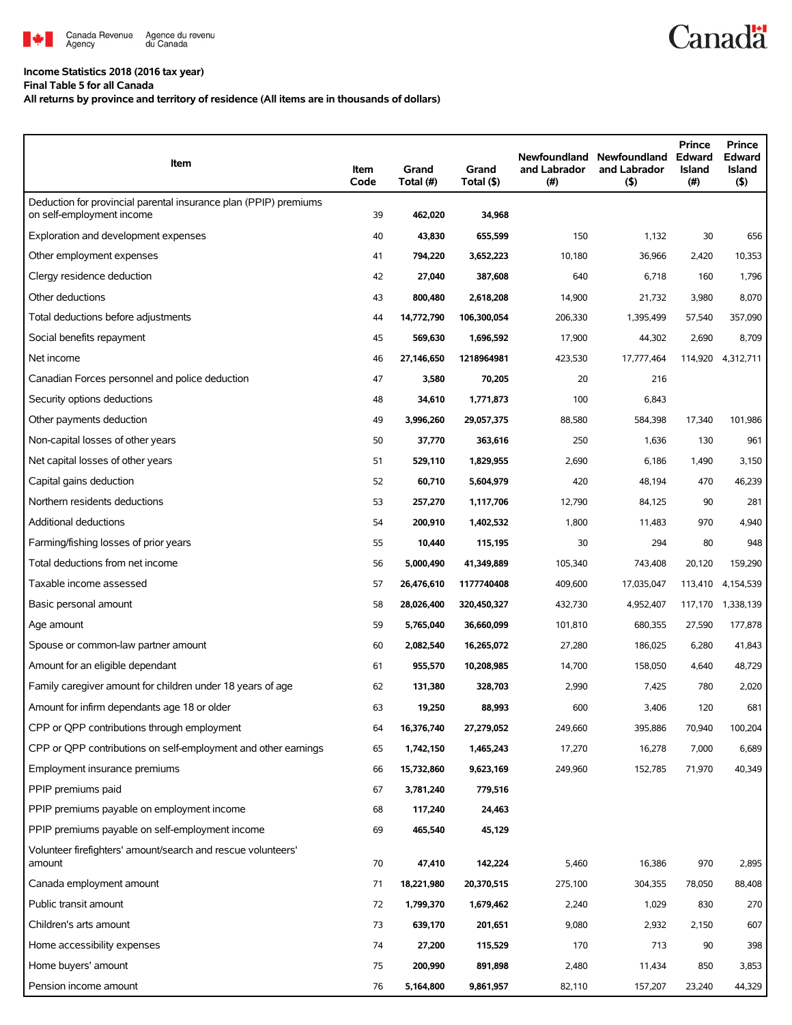

## **Income Statistics 2018 (2016 tax year)**

**Final Table 5 for all Canada**

**All returns by province and territory of residence (All items are in thousands of dollars)**

| Item                                                                                          | Item<br>Code | Grand<br>Total (#) | Grand<br>Total (\$) | and Labrador<br>(#) | Newfoundland Newfoundland<br>and Labrador<br>$($ \$) | <b>Prince</b><br><b>Edward</b><br>Island<br>(#) | <b>Prince</b><br><b>Edward</b><br><b>Island</b><br>$($ \$) |
|-----------------------------------------------------------------------------------------------|--------------|--------------------|---------------------|---------------------|------------------------------------------------------|-------------------------------------------------|------------------------------------------------------------|
| Deduction for provincial parental insurance plan (PPIP) premiums<br>on self-employment income | 39           | 462,020            | 34,968              |                     |                                                      |                                                 |                                                            |
| Exploration and development expenses                                                          | 40           | 43,830             | 655,599             | 150                 | 1,132                                                | 30                                              | 656                                                        |
| Other employment expenses                                                                     | 41           | 794,220            | 3,652,223           | 10,180              | 36,966                                               | 2,420                                           | 10,353                                                     |
| Clergy residence deduction                                                                    | 42           | 27,040             | 387,608             | 640                 | 6,718                                                | 160                                             | 1,796                                                      |
| Other deductions                                                                              | 43           | 800,480            | 2,618,208           | 14,900              | 21,732                                               | 3,980                                           | 8,070                                                      |
| Total deductions before adjustments                                                           | 44           | 14,772,790         | 106,300,054         | 206,330             | 1,395,499                                            | 57,540                                          | 357,090                                                    |
| Social benefits repayment                                                                     | 45           | 569,630            | 1,696,592           | 17,900              | 44,302                                               | 2,690                                           | 8,709                                                      |
| Net income                                                                                    | 46           | 27,146,650         | 1218964981          | 423,530             | 17,777,464                                           | 114,920                                         | 4,312,711                                                  |
| Canadian Forces personnel and police deduction                                                | 47           | 3,580              | 70,205              | 20                  | 216                                                  |                                                 |                                                            |
| Security options deductions                                                                   | 48           | 34,610             | 1,771,873           | 100                 | 6,843                                                |                                                 |                                                            |
| Other payments deduction                                                                      | 49           | 3,996,260          | 29,057,375          | 88,580              | 584,398                                              | 17,340                                          | 101,986                                                    |
| Non-capital losses of other years                                                             | 50           | 37,770             | 363,616             | 250                 | 1,636                                                | 130                                             | 961                                                        |
| Net capital losses of other years                                                             | 51           | 529,110            | 1,829,955           | 2,690               | 6,186                                                | 1,490                                           | 3,150                                                      |
| Capital gains deduction                                                                       | 52           | 60,710             | 5,604,979           | 420                 | 48,194                                               | 470                                             | 46,239                                                     |
| Northern residents deductions                                                                 | 53           | 257,270            | 1,117,706           | 12,790              | 84,125                                               | 90                                              | 281                                                        |
| Additional deductions                                                                         | 54           | 200,910            | 1,402,532           | 1,800               | 11,483                                               | 970                                             | 4,940                                                      |
| Farming/fishing losses of prior years                                                         | 55           | 10,440             | 115,195             | 30                  | 294                                                  | 80                                              | 948                                                        |
| Total deductions from net income                                                              | 56           | 5,000,490          | 41,349,889          | 105,340             | 743,408                                              | 20,120                                          | 159,290                                                    |
| Taxable income assessed                                                                       | 57           | 26,476,610         | 1177740408          | 409,600             | 17,035,047                                           | 113,410                                         | 4,154,539                                                  |
| Basic personal amount                                                                         | 58           | 28,026,400         | 320,450,327         | 432,730             | 4,952,407                                            | 117,170                                         | 1,338,139                                                  |
| Age amount                                                                                    | 59           | 5,765,040          | 36,660,099          | 101,810             | 680,355                                              | 27,590                                          | 177,878                                                    |
| Spouse or common-law partner amount                                                           | 60           | 2,082,540          | 16,265,072          | 27,280              | 186,025                                              | 6,280                                           | 41,843                                                     |
| Amount for an eligible dependant                                                              | 61           | 955,570            | 10,208,985          | 14,700              | 158,050                                              | 4,640                                           | 48,729                                                     |
| Family caregiver amount for children under 18 years of age                                    | 62           | 131,380            | 328,703             | 2,990               | 7,425                                                | 780                                             | 2,020                                                      |
| Amount for infirm dependants age 18 or older                                                  | 63           | 19,250             | 88,993              | 600                 | 3,406                                                | 120                                             | 681                                                        |
| CPP or QPP contributions through employment                                                   | 64           | 16,376,740         | 27,279,052          | 249,660             | 395,886                                              | 70,940                                          | 100,204                                                    |
| CPP or QPP contributions on self-employment and other earnings                                | 65           | 1,742,150          | 1,465,243           | 17,270              | 16,278                                               | 7,000                                           | 6,689                                                      |
| Employment insurance premiums                                                                 | 66           | 15,732,860         | 9,623,169           | 249,960             | 152,785                                              | 71,970                                          | 40,349                                                     |
| PPIP premiums paid                                                                            | 67           | 3,781,240          | 779,516             |                     |                                                      |                                                 |                                                            |
| PPIP premiums payable on employment income                                                    | 68           | 117,240            | 24,463              |                     |                                                      |                                                 |                                                            |
| PPIP premiums payable on self-employment income                                               | 69           | 465,540            | 45,129              |                     |                                                      |                                                 |                                                            |
| Volunteer firefighters' amount/search and rescue volunteers'<br>amount                        | 70           | 47,410             | 142,224             | 5,460               | 16,386                                               | 970                                             | 2,895                                                      |
| Canada employment amount                                                                      | 71           | 18,221,980         | 20,370,515          | 275,100             | 304,355                                              | 78,050                                          | 88,408                                                     |
| Public transit amount                                                                         | 72           | 1,799,370          | 1,679,462           | 2,240               | 1,029                                                | 830                                             | 270                                                        |
| Children's arts amount                                                                        | 73           | 639,170            | 201,651             | 9,080               | 2,932                                                | 2,150                                           | 607                                                        |
| Home accessibility expenses                                                                   | 74           | 27,200             | 115,529             | 170                 | 713                                                  | 90                                              | 398                                                        |
| Home buyers' amount                                                                           | 75           | 200,990            | 891,898             | 2,480               | 11,434                                               | 850                                             | 3,853                                                      |
| Pension income amount                                                                         | 76           | 5,164,800          | 9,861,957           | 82,110              | 157,207                                              | 23,240                                          | 44,329                                                     |

**Canadä**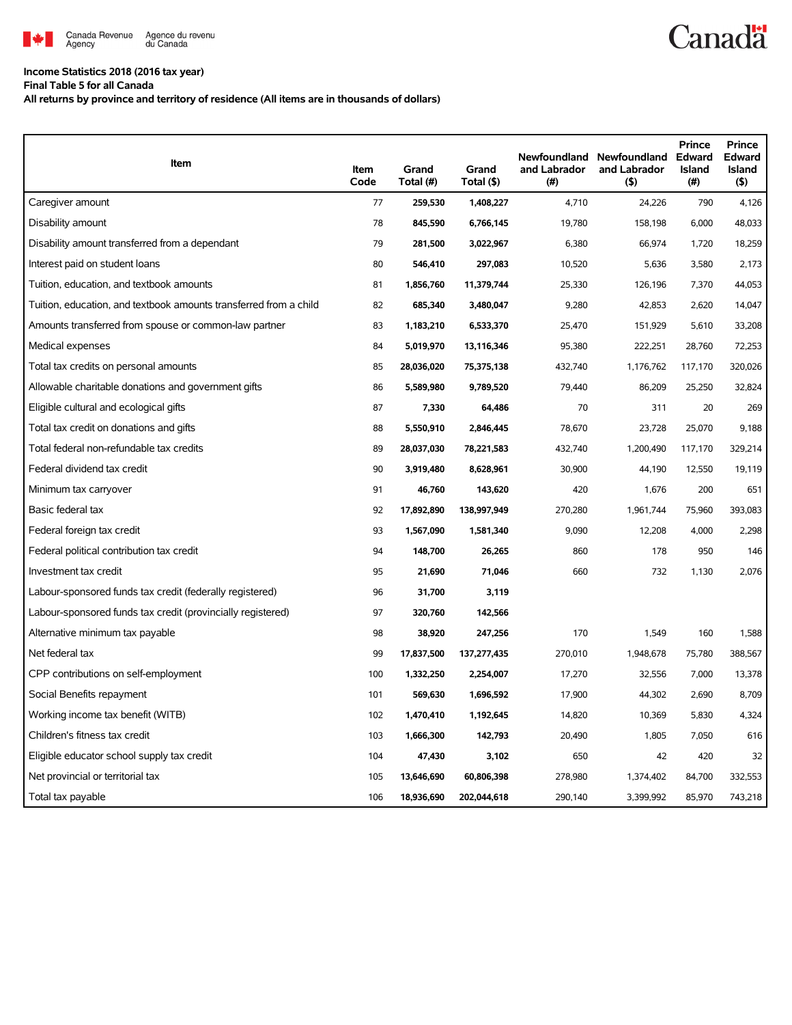

## **Income Statistics 2018 (2016 tax year)**

**Final Table 5 for all Canada**

**All returns by province and territory of residence (All items are in thousands of dollars)**

| Item                                                              | Item<br>Code | Grand<br>Total (#) | Grand<br>Total (\$) | Newfoundland<br>and Labrador<br>(#) | Newfoundland<br>and Labrador<br>(5) | <b>Prince</b><br>Edward<br><b>Island</b><br>$(\#)$ | <b>Prince</b><br>Edward<br><b>Island</b><br>(5) |
|-------------------------------------------------------------------|--------------|--------------------|---------------------|-------------------------------------|-------------------------------------|----------------------------------------------------|-------------------------------------------------|
| Caregiver amount                                                  | 77           | 259.530            | 1,408,227           | 4,710                               | 24.226                              | 790                                                | 4,126                                           |
| Disability amount                                                 | 78           | 845,590            | 6,766,145           | 19,780                              | 158,198                             | 6,000                                              | 48,033                                          |
| Disability amount transferred from a dependant                    | 79           | 281,500            | 3,022,967           | 6,380                               | 66,974                              | 1,720                                              | 18,259                                          |
| Interest paid on student loans                                    | 80           | 546,410            | 297,083             | 10,520                              | 5,636                               | 3,580                                              | 2,173                                           |
| Tuition, education, and textbook amounts                          | 81           | 1,856,760          | 11,379,744          | 25,330                              | 126,196                             | 7,370                                              | 44,053                                          |
| Tuition, education, and textbook amounts transferred from a child | 82           | 685,340            | 3,480,047           | 9,280                               | 42,853                              | 2,620                                              | 14,047                                          |
| Amounts transferred from spouse or common-law partner             | 83           | 1,183,210          | 6,533,370           | 25,470                              | 151,929                             | 5,610                                              | 33,208                                          |
| Medical expenses                                                  | 84           | 5,019,970          | 13,116,346          | 95,380                              | 222,251                             | 28,760                                             | 72,253                                          |
| Total tax credits on personal amounts                             | 85           | 28,036,020         | 75,375,138          | 432,740                             | 1,176,762                           | 117,170                                            | 320,026                                         |
| Allowable charitable donations and government gifts               | 86           | 5,589,980          | 9,789,520           | 79,440                              | 86,209                              | 25,250                                             | 32,824                                          |
| Eligible cultural and ecological gifts                            | 87           | 7,330              | 64,486              | 70                                  | 311                                 | 20                                                 | 269                                             |
| Total tax credit on donations and gifts                           | 88           | 5,550,910          | 2,846,445           | 78,670                              | 23,728                              | 25,070                                             | 9,188                                           |
| Total federal non-refundable tax credits                          | 89           | 28,037,030         | 78,221,583          | 432,740                             | 1,200,490                           | 117,170                                            | 329,214                                         |
| Federal dividend tax credit                                       | 90           | 3,919,480          | 8,628,961           | 30,900                              | 44,190                              | 12,550                                             | 19.119                                          |
| Minimum tax carryover                                             | 91           | 46,760             | 143,620             | 420                                 | 1,676                               | 200                                                | 651                                             |
| Basic federal tax                                                 | 92           | 17,892,890         | 138,997,949         | 270,280                             | 1.961.744                           | 75,960                                             | 393,083                                         |
| Federal foreign tax credit                                        | 93           | 1,567,090          | 1,581,340           | 9,090                               | 12,208                              | 4,000                                              | 2,298                                           |
| Federal political contribution tax credit                         | 94           | 148,700            | 26,265              | 860                                 | 178                                 | 950                                                | 146                                             |
| Investment tax credit                                             | 95           | 21,690             | 71,046              | 660                                 | 732                                 | 1,130                                              | 2,076                                           |
| Labour-sponsored funds tax credit (federally registered)          | 96           | 31,700             | 3,119               |                                     |                                     |                                                    |                                                 |
| Labour-sponsored funds tax credit (provincially registered)       | 97           | 320,760            | 142,566             |                                     |                                     |                                                    |                                                 |
| Alternative minimum tax payable                                   | 98           | 38,920             | 247,256             | 170                                 | 1,549                               | 160                                                | 1,588                                           |
| Net federal tax                                                   | 99           | 17,837,500         | 137,277,435         | 270,010                             | 1,948,678                           | 75,780                                             | 388,567                                         |
| CPP contributions on self-employment                              | 100          | 1,332,250          | 2,254,007           | 17,270                              | 32,556                              | 7,000                                              | 13,378                                          |
| Social Benefits repayment                                         | 101          | 569,630            | 1,696,592           | 17,900                              | 44,302                              | 2,690                                              | 8,709                                           |
| Working income tax benefit (WITB)                                 | 102          | 1,470,410          | 1,192,645           | 14,820                              | 10,369                              | 5,830                                              | 4,324                                           |
| Children's fitness tax credit                                     | 103          | 1,666,300          | 142,793             | 20,490                              | 1,805                               | 7,050                                              | 616                                             |
| Eligible educator school supply tax credit                        | 104          | 47,430             | 3,102               | 650                                 | 42                                  | 420                                                | 32                                              |
| Net provincial or territorial tax                                 | 105          | 13,646,690         | 60,806,398          | 278,980                             | 1,374,402                           | 84,700                                             | 332,553                                         |
| Total tax payable                                                 | 106          | 18,936,690         | 202.044.618         | 290.140                             | 3,399,992                           | 85,970                                             | 743,218                                         |

**Canadä**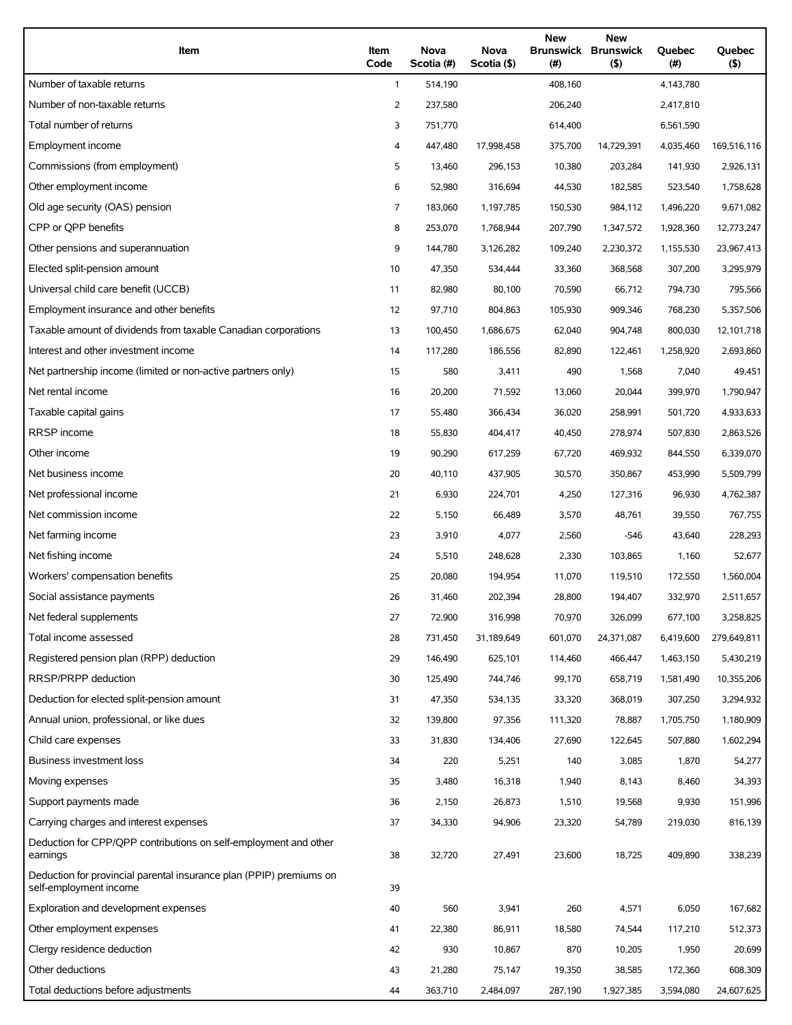| Item                                                                                          | Item<br>Code | <b>Nova</b><br>Scotia (#) | Nova<br>Scotia (\$) | <b>New</b><br><b>Brunswick Brunswick</b><br>(# ) | <b>New</b><br>(5) | Quebec<br>(# ) | <b>Ouebec</b><br>(5) |
|-----------------------------------------------------------------------------------------------|--------------|---------------------------|---------------------|--------------------------------------------------|-------------------|----------------|----------------------|
| Number of taxable returns                                                                     | $\mathbf{1}$ | 514,190                   |                     | 408,160                                          |                   | 4,143,780      |                      |
| Number of non-taxable returns                                                                 | 2            | 237,580                   |                     | 206,240                                          |                   | 2.417.810      |                      |
| Total number of returns                                                                       | 3            | 751,770                   |                     | 614,400                                          |                   | 6,561,590      |                      |
| Employment income                                                                             | 4            | 447,480                   | 17,998,458          | 375,700                                          | 14,729,391        | 4,035,460      | 169,516,116          |
| Commissions (from employment)                                                                 | 5            | 13,460                    | 296,153             | 10,380                                           | 203,284           | 141,930        | 2,926,131            |
| Other employment income                                                                       | 6            | 52,980                    | 316,694             | 44,530                                           | 182,585           | 523,540        | 1,758,628            |
| Old age security (OAS) pension                                                                | 7            | 183,060                   | 1,197,785           | 150,530                                          | 984,112           | 1,496,220      | 9,671,082            |
| CPP or QPP benefits                                                                           | 8            | 253,070                   | 1,768,944           | 207,790                                          | 1,347,572         | 1,928,360      | 12,773,247           |
| Other pensions and superannuation                                                             | 9            | 144,780                   | 3,126,282           | 109,240                                          | 2,230,372         | 1,155,530      | 23,967,413           |
| Elected split-pension amount                                                                  | 10           | 47,350                    | 534,444             | 33,360                                           | 368,568           | 307,200        | 3,295,979            |
| Universal child care benefit (UCCB)                                                           | 11           | 82,980                    | 80,100              | 70,590                                           | 66,712            | 794,730        | 795,566              |
| Employment insurance and other benefits                                                       | 12           | 97,710                    | 804,863             | 105,930                                          | 909,346           | 768,230        | 5,357,506            |
| Taxable amount of dividends from taxable Canadian corporations                                | 13           | 100,450                   | 1,686,675           | 62,040                                           | 904,748           | 800,030        | 12,101,718           |
| Interest and other investment income                                                          | 14           | 117,280                   | 186,556             | 82,890                                           | 122,461           | 1,258,920      | 2,693,860            |
| Net partnership income (limited or non-active partners only)                                  | 15           | 580                       | 3,411               | 490                                              | 1,568             | 7,040          | 49,451               |
| Net rental income                                                                             | 16           | 20,200                    | 71,592              | 13,060                                           | 20,044            | 399,970        | 1,790,947            |
| Taxable capital gains                                                                         | 17           | 55,480                    | 366,434             | 36,020                                           | 258,991           | 501,720        | 4,933,633            |
| RRSP income                                                                                   | 18           | 55,830                    | 404,417             | 40,450                                           | 278,974           | 507,830        | 2,863,526            |
| Other income                                                                                  | 19           | 90,290                    | 617,259             | 67,720                                           | 469,932           | 844,550        | 6,339,070            |
| Net business income                                                                           | 20           | 40,110                    | 437,905             | 30,570                                           | 350,867           | 453,990        | 5,509,799            |
| Net professional income                                                                       | 21           | 6,930                     | 224,701             | 4,250                                            | 127,316           | 96,930         | 4,762,387            |
| Net commission income                                                                         | 22           | 5,150                     | 66,489              | 3,570                                            | 48,761            | 39,550         | 767,755              |
| Net farming income                                                                            | 23           | 3,910                     | 4,077               | 2,560                                            | $-546$            | 43,640         | 228,293              |
| Net fishing income                                                                            | 24           | 5,510                     | 248,628             | 2,330                                            | 103,865           | 1,160          | 52,677               |
| Workers' compensation benefits                                                                | 25           | 20,080                    | 194,954             | 11,070                                           | 119,510           | 172,550        | 1,560,004            |
| Social assistance payments                                                                    | 26           | 31,460                    | 202,394             | 28,800                                           | 194,407           | 332,970        | 2,511,657            |
| Net federal supplements                                                                       | 27           | 72,900                    | 316,998             | 70,970                                           | 326,099           | 677,100        | 3,258,825            |
| Total income assessed                                                                         | 28           | 731,450                   | 31,189,649          | 601,070                                          | 24,371,087        | 6,419,600      | 279,649,811          |
| Registered pension plan (RPP) deduction                                                       | 29           | 146,490                   | 625,101             | 114,460                                          | 466,447           | 1,463,150      | 5,430,219            |
| RRSP/PRPP deduction                                                                           | 30           | 125,490                   | 744,746             | 99,170                                           | 658,719           | 1,581,490      | 10,355,206           |
| Deduction for elected split-pension amount                                                    | 31           | 47,350                    | 534,135             | 33,320                                           | 368,019           | 307,250        | 3,294,932            |
| Annual union, professional, or like dues                                                      | 32           | 139,800                   | 97,356              | 111,320                                          | 78,887            | 1,705,750      | 1,180,909            |
| Child care expenses                                                                           | 33           | 31,830                    | 134,406             | 27,690                                           | 122,645           | 507,880        | 1,602,294            |
| Business investment loss                                                                      | 34           | 220                       | 5,251               | 140                                              | 3,085             | 1,870          | 54,277               |
| Moving expenses                                                                               | 35           | 3,480                     | 16,318              | 1,940                                            | 8,143             | 8,460          | 34,393               |
| Support payments made                                                                         | 36           | 2,150                     | 26,873              | 1,510                                            | 19,568            | 9,930          | 151,996              |
| Carrying charges and interest expenses                                                        | 37           | 34,330                    | 94,906              | 23,320                                           | 54,789            | 219,030        | 816,139              |
| Deduction for CPP/QPP contributions on self-employment and other<br>earnings                  | 38           | 32,720                    | 27,491              | 23,600                                           | 18,725            | 409,890        | 338,239              |
| Deduction for provincial parental insurance plan (PPIP) premiums on<br>self-employment income | 39           |                           |                     |                                                  |                   |                |                      |
| Exploration and development expenses                                                          | 40           | 560                       | 3,941               | 260                                              | 4,571             | 6,050          | 167,682              |
| Other employment expenses                                                                     | 41           | 22,380                    | 86,911              | 18,580                                           | 74,544            | 117,210        | 512,373              |
| Clergy residence deduction                                                                    | 42           | 930                       | 10,867              | 870                                              | 10,205            | 1,950          | 20,699               |
| Other deductions                                                                              | 43           | 21,280                    | 75,147              | 19,350                                           | 38,585            | 172,360        | 608,309              |
| Total deductions before adjustments                                                           | 44           | 363,710                   | 2,484,097           | 287,190                                          | 1,927,385         | 3,594,080      | 24,607,625           |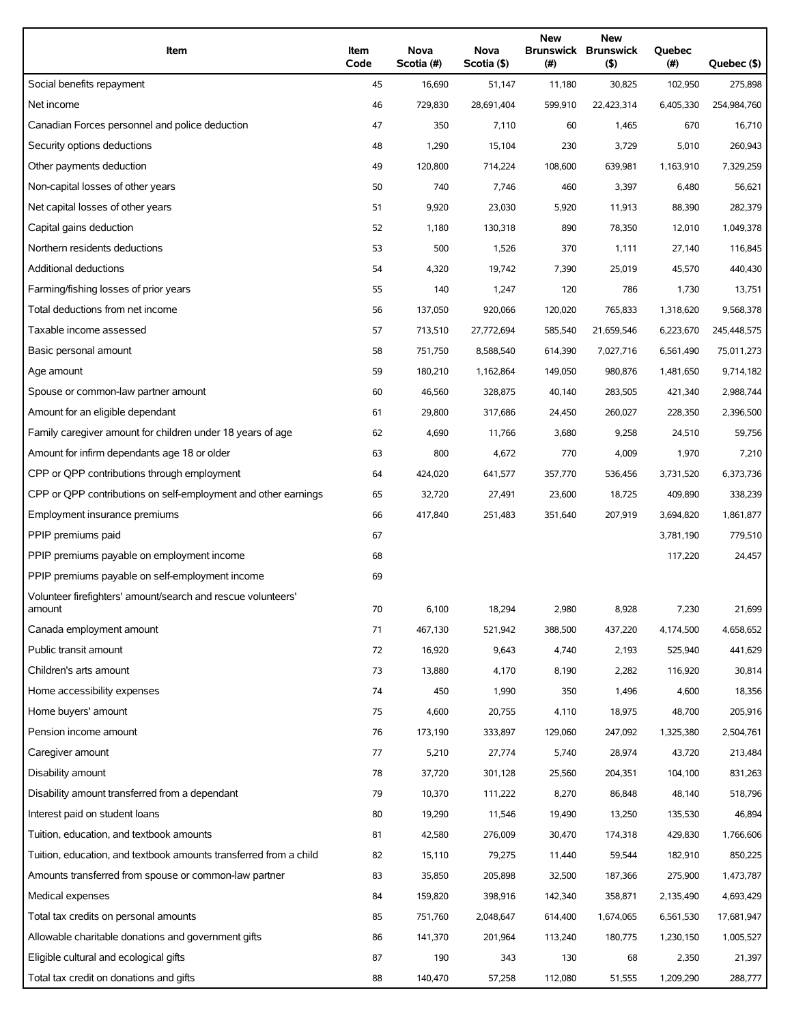| Item                                                              | Item<br>Code | Nova<br>Scotia (#) | Nova<br>Scotia (\$) | <b>New</b><br>(#) | <b>New</b><br><b>Brunswick Brunswick</b><br>(5) | Quebec<br>(#) | Quebec (\$) |
|-------------------------------------------------------------------|--------------|--------------------|---------------------|-------------------|-------------------------------------------------|---------------|-------------|
| Social benefits repayment                                         | 45           | 16,690             | 51,147              | 11,180            | 30,825                                          | 102,950       | 275,898     |
| Net income                                                        | 46           | 729,830            | 28,691,404          | 599,910           | 22,423,314                                      | 6,405,330     | 254,984,760 |
| Canadian Forces personnel and police deduction                    | 47           | 350                | 7,110               | 60                | 1,465                                           | 670           | 16,710      |
| Security options deductions                                       | 48           | 1,290              | 15,104              | 230               | 3,729                                           | 5,010         | 260,943     |
| Other payments deduction                                          | 49           | 120,800            | 714,224             | 108,600           | 639,981                                         | 1,163,910     | 7,329,259   |
| Non-capital losses of other years                                 | 50           | 740                | 7,746               | 460               | 3,397                                           | 6,480         | 56,621      |
| Net capital losses of other years                                 | 51           | 9,920              | 23,030              | 5,920             | 11,913                                          | 88,390        | 282,379     |
| Capital gains deduction                                           | 52           | 1,180              | 130,318             | 890               | 78,350                                          | 12,010        | 1,049,378   |
| Northern residents deductions                                     | 53           | 500                | 1,526               | 370               | 1,111                                           | 27,140        | 116,845     |
| <b>Additional deductions</b>                                      | 54           | 4,320              | 19,742              | 7,390             | 25,019                                          | 45,570        | 440,430     |
| Farming/fishing losses of prior years                             | 55           | 140                | 1,247               | 120               | 786                                             | 1,730         | 13,751      |
| Total deductions from net income                                  | 56           | 137,050            | 920,066             | 120,020           | 765,833                                         | 1,318,620     | 9,568,378   |
| Taxable income assessed                                           | 57           | 713,510            | 27,772,694          | 585,540           | 21,659,546                                      | 6,223,670     | 245,448,575 |
| Basic personal amount                                             | 58           | 751,750            | 8,588,540           | 614,390           | 7,027,716                                       | 6,561,490     | 75,011,273  |
| Age amount                                                        | 59           | 180,210            | 1,162,864           | 149,050           | 980,876                                         | 1,481,650     | 9,714,182   |
| Spouse or common-law partner amount                               | 60           | 46,560             | 328,875             | 40,140            | 283,505                                         | 421,340       | 2,988,744   |
| Amount for an eligible dependant                                  | 61           | 29,800             | 317,686             | 24,450            | 260,027                                         | 228,350       | 2,396,500   |
| Family caregiver amount for children under 18 years of age        | 62           | 4,690              | 11,766              | 3,680             | 9,258                                           | 24,510        | 59,756      |
| Amount for infirm dependants age 18 or older                      | 63           | 800                | 4,672               | 770               | 4,009                                           | 1,970         | 7,210       |
| CPP or QPP contributions through employment                       | 64           | 424,020            | 641,577             | 357,770           | 536,456                                         | 3,731,520     | 6,373,736   |
| CPP or QPP contributions on self-employment and other earnings    | 65           | 32,720             | 27,491              | 23,600            | 18,725                                          | 409,890       | 338,239     |
| Employment insurance premiums                                     | 66           | 417,840            | 251,483             | 351,640           | 207,919                                         | 3,694,820     | 1,861,877   |
| PPIP premiums paid                                                | 67           |                    |                     |                   |                                                 | 3,781,190     | 779,510     |
| PPIP premiums payable on employment income                        | 68           |                    |                     |                   |                                                 | 117,220       | 24,457      |
| PPIP premiums payable on self-employment income                   | 69           |                    |                     |                   |                                                 |               |             |
| Volunteer firefighters' amount/search and rescue volunteers'      |              |                    |                     |                   |                                                 |               |             |
| amount                                                            | 70           | 6,100              | 18,294              | 2,980             | 8,928                                           | 7,230         | 21,699      |
| Canada employment amount                                          | 71           | 467,130            | 521,942             | 388,500           | 437,220                                         | 4,174,500     | 4,658,652   |
| Public transit amount                                             | 72           | 16,920             | 9,643               | 4,740             | 2,193                                           | 525,940       | 441,629     |
| Children's arts amount                                            | 73           | 13,880             | 4,170               | 8,190             | 2,282                                           | 116,920       | 30,814      |
| Home accessibility expenses                                       | 74           | 450                | 1,990               | 350               | 1,496                                           | 4,600         | 18,356      |
| Home buyers' amount                                               | 75           | 4,600              | 20,755              | 4,110             | 18,975                                          | 48,700        | 205,916     |
| Pension income amount                                             | 76           | 173,190            | 333,897             | 129,060           | 247,092                                         | 1,325,380     | 2,504,761   |
| Caregiver amount                                                  | 77           | 5,210              | 27,774              | 5,740             | 28,974                                          | 43,720        | 213,484     |
| Disability amount                                                 | 78           | 37,720             | 301,128             | 25,560            | 204,351                                         | 104,100       | 831,263     |
| Disability amount transferred from a dependant                    | 79           | 10,370             | 111,222             | 8,270             | 86,848                                          | 48,140        | 518,796     |
| Interest paid on student loans                                    | 80           | 19,290             | 11,546              | 19,490            | 13,250                                          | 135,530       | 46,894      |
| Tuition, education, and textbook amounts                          | 81           | 42,580             | 276,009             | 30,470            | 174,318                                         | 429,830       | 1,766,606   |
| Tuition, education, and textbook amounts transferred from a child | 82           | 15,110             | 79,275              | 11,440            | 59,544                                          | 182,910       | 850,225     |
| Amounts transferred from spouse or common-law partner             | 83           | 35,850             | 205,898             | 32,500            | 187,366                                         | 275,900       | 1,473,787   |
| Medical expenses                                                  | 84           | 159,820            | 398,916             | 142,340           | 358,871                                         | 2,135,490     | 4,693,429   |
| Total tax credits on personal amounts                             | 85           | 751,760            | 2,048,647           | 614,400           | 1,674,065                                       | 6,561,530     | 17,681,947  |
| Allowable charitable donations and government gifts               | 86           | 141,370            | 201,964             | 113,240           | 180,775                                         | 1,230,150     | 1,005,527   |
| Eligible cultural and ecological gifts                            | 87           | 190                | 343                 | 130               | 68                                              | 2,350         | 21,397      |
| Total tax credit on donations and gifts                           | 88           | 140,470            | 57,258              | 112,080           | 51,555                                          | 1,209,290     | 288,777     |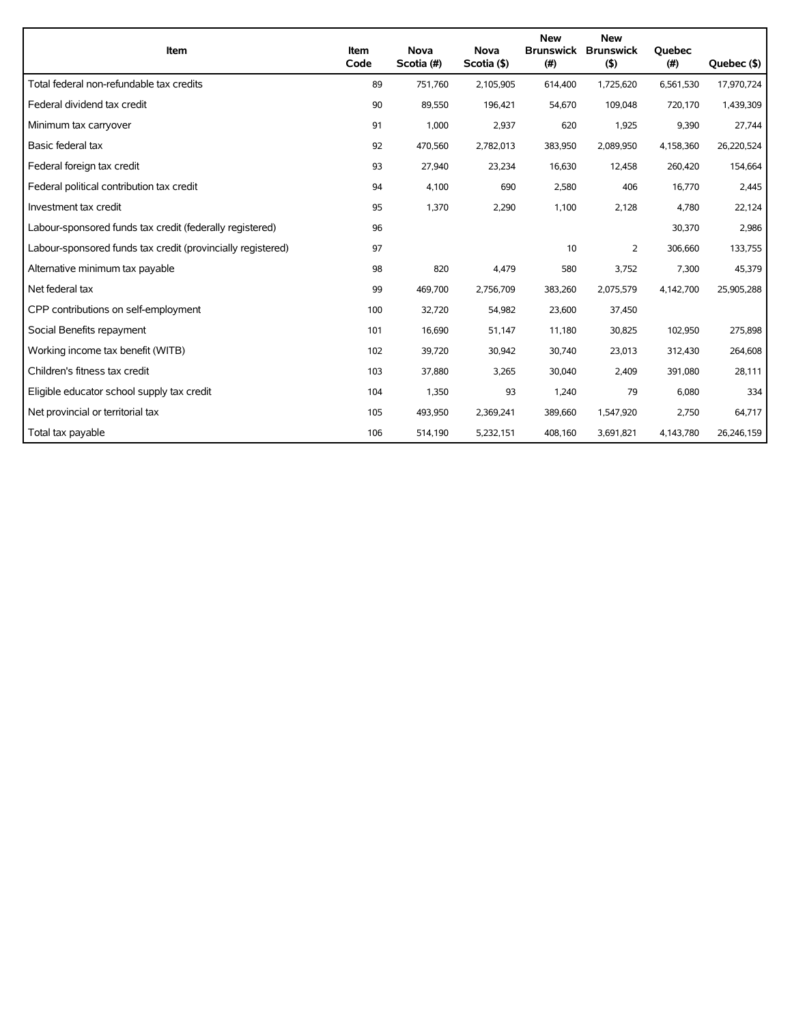| Item                                                        |      | <b>Nova</b> | <b>Nova</b> | <b>New</b><br><b>Brunswick</b> | <b>New</b><br><b>Brunswick</b> | <b>Ouebec</b> |             |
|-------------------------------------------------------------|------|-------------|-------------|--------------------------------|--------------------------------|---------------|-------------|
|                                                             | Code | Scotia (#)  | Scotia (\$) | (#)                            | (5)                            | (#)           | Quebec (\$) |
| Total federal non-refundable tax credits                    | 89   | 751,760     | 2,105,905   | 614,400                        | 1,725,620                      | 6,561,530     | 17,970,724  |
| Federal dividend tax credit                                 | 90   | 89,550      | 196,421     | 54,670                         | 109,048                        | 720,170       | 1,439,309   |
| Minimum tax carryover                                       | 91   | 1.000       | 2,937       | 620                            | 1,925                          | 9,390         | 27,744      |
| Basic federal tax                                           | 92   | 470,560     | 2,782,013   | 383,950                        | 2,089,950                      | 4,158,360     | 26,220,524  |
| Federal foreign tax credit                                  | 93   | 27,940      | 23,234      | 16,630                         | 12,458                         | 260,420       | 154,664     |
| Federal political contribution tax credit                   | 94   | 4,100       | 690         | 2,580                          | 406                            | 16,770        | 2,445       |
| Investment tax credit                                       | 95   | 1,370       | 2,290       | 1,100                          | 2,128                          | 4,780         | 22,124      |
| Labour-sponsored funds tax credit (federally registered)    | 96   |             |             |                                |                                | 30,370        | 2,986       |
| Labour-sponsored funds tax credit (provincially registered) | 97   |             |             | 10                             | 2                              | 306,660       | 133,755     |
| Alternative minimum tax payable                             | 98   | 820         | 4,479       | 580                            | 3,752                          | 7,300         | 45,379      |
| Net federal tax                                             | 99   | 469,700     | 2,756,709   | 383,260                        | 2,075,579                      | 4,142,700     | 25,905,288  |
| CPP contributions on self-employment                        | 100  | 32,720      | 54,982      | 23,600                         | 37,450                         |               |             |
| Social Benefits repayment                                   | 101  | 16,690      | 51,147      | 11,180                         | 30,825                         | 102,950       | 275,898     |
| Working income tax benefit (WITB)                           | 102  | 39,720      | 30,942      | 30,740                         | 23,013                         | 312,430       | 264,608     |
| Children's fitness tax credit                               | 103  | 37,880      | 3,265       | 30,040                         | 2,409                          | 391,080       | 28,111      |
| Eligible educator school supply tax credit                  | 104  | 1,350       | 93          | 1,240                          | 79                             | 6,080         | 334         |
| Net provincial or territorial tax                           | 105  | 493,950     | 2,369,241   | 389,660                        | 1,547,920                      | 2,750         | 64,717      |
| Total tax payable                                           | 106  | 514,190     | 5,232,151   | 408,160                        | 3,691,821                      | 4,143,780     | 26,246,159  |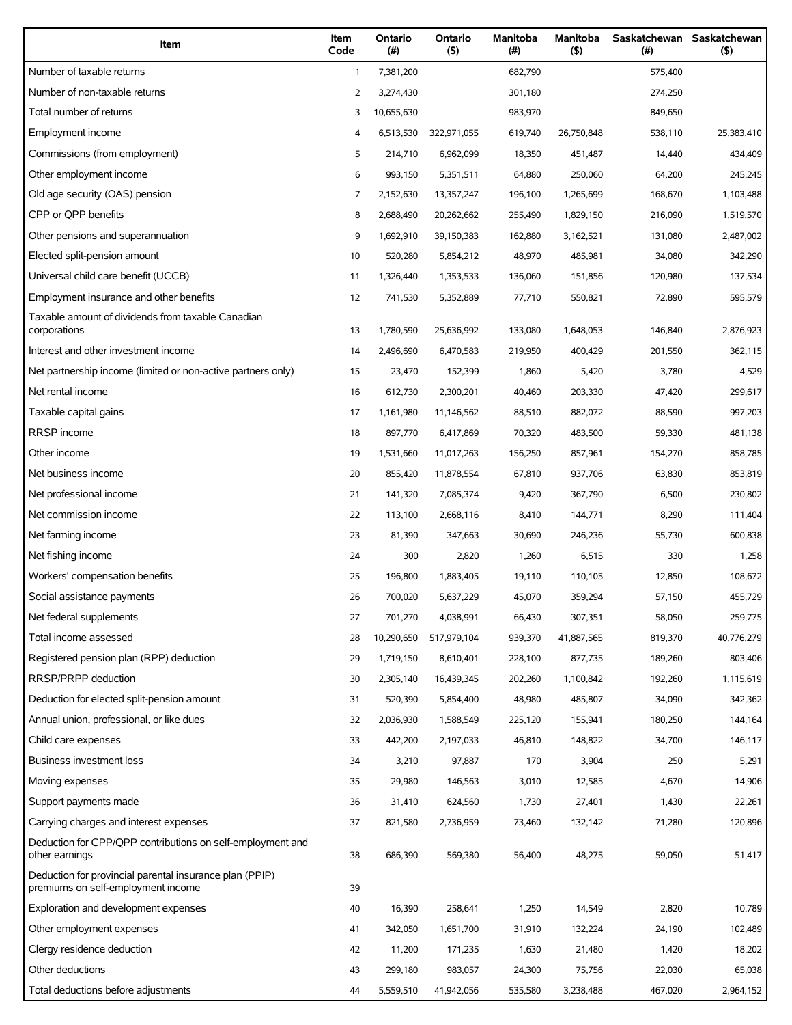| Item                                                                                          | Item<br>Code | Ontario<br>(# ) | Ontario<br>$($ \$) | Manitoba<br>(# ) | <b>Manitoba</b><br>(5) | $(\#)$  | Saskatchewan Saskatchewan<br>(5) |
|-----------------------------------------------------------------------------------------------|--------------|-----------------|--------------------|------------------|------------------------|---------|----------------------------------|
| Number of taxable returns                                                                     | $\mathbf{1}$ | 7,381,200       |                    | 682,790          |                        | 575,400 |                                  |
| Number of non-taxable returns                                                                 | 2            | 3,274,430       |                    | 301,180          |                        | 274,250 |                                  |
| Total number of returns                                                                       | 3            | 10,655,630      |                    | 983,970          |                        | 849,650 |                                  |
| Employment income                                                                             | 4            | 6,513,530       | 322,971,055        | 619,740          | 26,750,848             | 538,110 | 25,383,410                       |
| Commissions (from employment)                                                                 | 5            | 214,710         | 6,962,099          | 18,350           | 451,487                | 14,440  | 434,409                          |
| Other employment income                                                                       | 6            | 993,150         | 5,351,511          | 64,880           | 250,060                | 64,200  | 245,245                          |
| Old age security (OAS) pension                                                                | 7            | 2,152,630       | 13,357,247         | 196,100          | 1,265,699              | 168,670 | 1,103,488                        |
| CPP or OPP benefits                                                                           | 8            | 2,688,490       | 20,262,662         | 255,490          | 1,829,150              | 216,090 | 1,519,570                        |
| Other pensions and superannuation                                                             | 9            | 1,692,910       | 39,150,383         | 162,880          | 3,162,521              | 131,080 | 2,487,002                        |
| Elected split-pension amount                                                                  | 10           | 520,280         | 5,854,212          | 48,970           | 485,981                | 34,080  | 342,290                          |
| Universal child care benefit (UCCB)                                                           | 11           | 1,326,440       | 1,353,533          | 136,060          | 151,856                | 120,980 | 137,534                          |
| Employment insurance and other benefits                                                       | 12           | 741,530         | 5,352,889          | 77,710           | 550,821                | 72,890  | 595,579                          |
| Taxable amount of dividends from taxable Canadian<br>corporations                             | 13           | 1,780,590       | 25,636,992         | 133,080          | 1,648,053              | 146,840 | 2,876,923                        |
| Interest and other investment income                                                          | 14           | 2,496,690       | 6,470,583          | 219,950          | 400,429                | 201,550 | 362,115                          |
| Net partnership income (limited or non-active partners only)                                  | 15           | 23,470          | 152,399            | 1,860            | 5,420                  | 3,780   | 4,529                            |
| Net rental income                                                                             | 16           | 612,730         | 2,300,201          | 40,460           | 203,330                | 47,420  | 299,617                          |
| Taxable capital gains                                                                         | 17           | 1,161,980       | 11,146,562         | 88,510           | 882,072                | 88,590  | 997,203                          |
| RRSP income                                                                                   | 18           | 897,770         | 6,417,869          | 70,320           | 483,500                | 59,330  | 481,138                          |
| Other income                                                                                  | 19           | 1,531,660       | 11,017,263         | 156,250          | 857,961                | 154,270 | 858,785                          |
| Net business income                                                                           | 20           | 855,420         | 11,878,554         | 67,810           | 937,706                | 63,830  | 853,819                          |
| Net professional income                                                                       | 21           | 141,320         | 7,085,374          | 9,420            | 367,790                | 6,500   | 230,802                          |
| Net commission income                                                                         | 22           | 113,100         | 2,668,116          | 8,410            | 144,771                | 8,290   | 111,404                          |
| Net farming income                                                                            | 23           | 81,390          | 347,663            | 30,690           | 246,236                | 55,730  | 600,838                          |
| Net fishing income                                                                            | 24           | 300             | 2,820              | 1,260            | 6,515                  | 330     | 1,258                            |
| Workers' compensation benefits                                                                | 25           | 196,800         | 1,883,405          | 19,110           | 110,105                | 12,850  | 108,672                          |
| Social assistance payments                                                                    | 26           | 700,020         | 5,637,229          | 45,070           | 359,294                | 57,150  | 455,729                          |
| Net federal supplements                                                                       | 27           | 701,270         | 4,038,991          | 66,430           | 307,351                | 58,050  | 259,775                          |
| Total income assessed                                                                         | 28           | 10,290,650      | 517,979,104        | 939,370          | 41,887,565             | 819,370 | 40,776,279                       |
| Registered pension plan (RPP) deduction                                                       | 29           | 1,719,150       | 8,610,401          | 228,100          | 877,735                | 189,260 | 803,406                          |
| RRSP/PRPP deduction                                                                           | 30           | 2,305,140       | 16,439,345         | 202,260          | 1,100,842              | 192,260 | 1,115,619                        |
| Deduction for elected split-pension amount                                                    | 31           | 520,390         | 5,854,400          | 48,980           | 485,807                | 34,090  | 342,362                          |
| Annual union, professional, or like dues                                                      | 32           | 2,036,930       | 1,588,549          | 225,120          | 155,941                | 180,250 | 144,164                          |
| Child care expenses                                                                           | 33           | 442,200         | 2,197,033          | 46,810           | 148,822                | 34,700  | 146,117                          |
| Business investment loss                                                                      | 34           | 3,210           | 97,887             | 170              | 3,904                  | 250     | 5,291                            |
| Moving expenses                                                                               | 35           | 29,980          | 146,563            | 3,010            | 12,585                 | 4,670   | 14,906                           |
| Support payments made                                                                         | 36           | 31,410          | 624,560            | 1,730            | 27,401                 | 1,430   | 22,261                           |
| Carrying charges and interest expenses                                                        | 37           | 821,580         | 2,736,959          | 73,460           | 132,142                | 71,280  | 120,896                          |
| Deduction for CPP/QPP contributions on self-employment and<br>other earnings                  | 38           | 686,390         | 569,380            | 56,400           | 48,275                 | 59,050  | 51,417                           |
| Deduction for provincial parental insurance plan (PPIP)<br>premiums on self-employment income | 39           |                 |                    |                  |                        |         |                                  |
| Exploration and development expenses                                                          | 40           | 16,390          | 258,641            | 1,250            | 14,549                 | 2,820   | 10,789                           |
| Other employment expenses                                                                     | 41           | 342,050         | 1,651,700          | 31,910           | 132,224                | 24,190  | 102,489                          |
| Clergy residence deduction                                                                    | 42           | 11,200          | 171,235            | 1,630            | 21,480                 | 1,420   | 18,202                           |
| Other deductions                                                                              | 43           | 299,180         | 983,057            | 24,300           | 75,756                 | 22,030  | 65,038                           |
| Total deductions before adjustments                                                           | 44           | 5,559,510       | 41,942,056         | 535,580          | 3,238,488              | 467,020 | 2,964,152                        |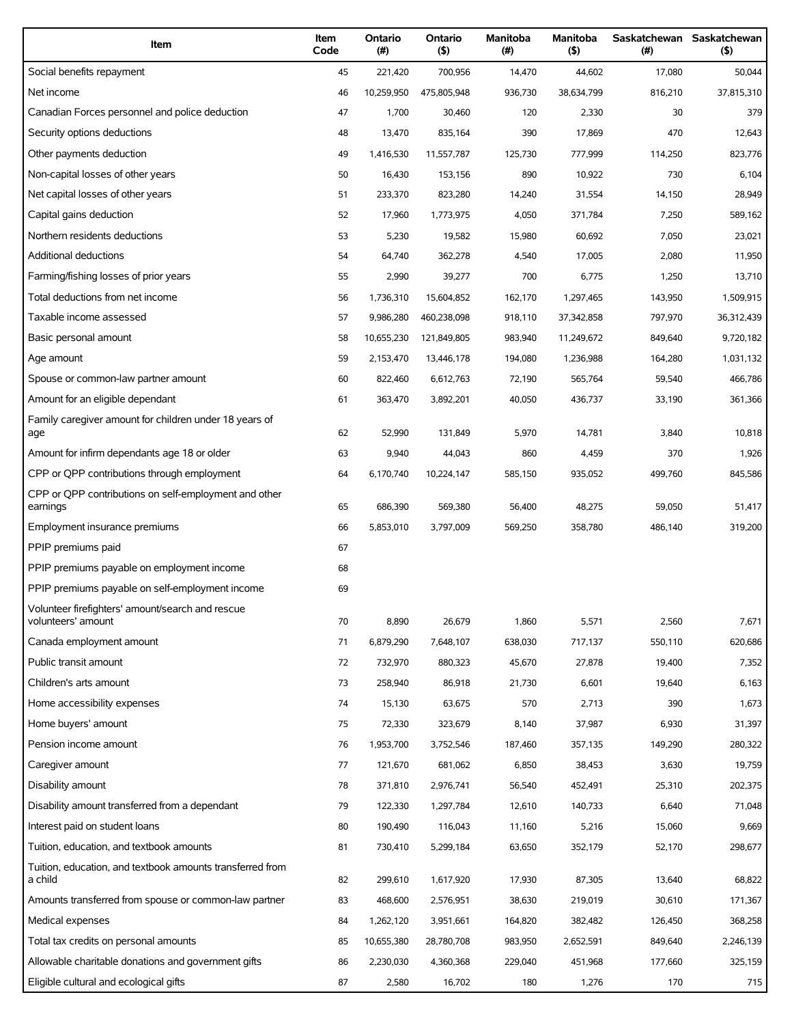| Item                                                                   | Item<br>Code | Ontario<br>(#) | Ontario<br>(5) | Manitoba<br>$($ # $)$ | Manitoba<br>(5) | Saskatchewan Saskatchewan<br>(#) | (5)        |
|------------------------------------------------------------------------|--------------|----------------|----------------|-----------------------|-----------------|----------------------------------|------------|
| Social benefits repayment                                              | 45           | 221,420        | 700,956        | 14,470                | 44,602          | 17,080                           | 50,044     |
| Net income                                                             | 46           | 10,259,950     | 475,805,948    | 936,730               | 38,634,799      | 816,210                          | 37,815,310 |
| Canadian Forces personnel and police deduction                         | 47           | 1,700          | 30,460         | 120                   | 2,330           | 30                               | 379        |
| Security options deductions                                            | 48           | 13,470         | 835,164        | 390                   | 17,869          | 470                              | 12,643     |
| Other payments deduction                                               | 49           | 1,416,530      | 11,557,787     | 125,730               | 777,999         | 114,250                          | 823,776    |
| Non-capital losses of other years                                      | 50           | 16,430         | 153,156        | 890                   | 10,922          | 730                              | 6,104      |
| Net capital losses of other years                                      | 51           | 233,370        | 823,280        | 14,240                | 31,554          | 14,150                           | 28,949     |
| Capital gains deduction                                                | 52           | 17,960         | 1,773,975      | 4,050                 | 371,784         | 7,250                            | 589,162    |
| Northern residents deductions                                          | 53           | 5,230          | 19,582         | 15,980                | 60,692          | 7,050                            | 23,021     |
| <b>Additional deductions</b>                                           | 54           | 64,740         | 362,278        | 4,540                 | 17,005          | 2,080                            | 11,950     |
| Farming/fishing losses of prior years                                  | 55           | 2,990          | 39,277         | 700                   | 6,775           | 1,250                            | 13,710     |
| Total deductions from net income                                       | 56           | 1,736,310      | 15,604,852     | 162,170               | 1,297,465       | 143,950                          | 1,509,915  |
| Taxable income assessed                                                | 57           | 9,986,280      | 460,238,098    | 918,110               | 37,342,858      | 797,970                          | 36,312,439 |
| Basic personal amount                                                  | 58           | 10,655,230     | 121,849,805    | 983,940               | 11,249,672      | 849,640                          | 9,720,182  |
| Age amount                                                             | 59           | 2,153,470      | 13,446,178     | 194,080               | 1,236,988       | 164,280                          | 1,031,132  |
| Spouse or common-law partner amount                                    | 60           | 822,460        | 6,612,763      | 72,190                | 565,764         | 59,540                           | 466,786    |
| Amount for an eligible dependant                                       | 61           | 363,470        | 3,892,201      | 40,050                | 436,737         | 33,190                           | 361,366    |
| Family caregiver amount for children under 18 years of<br>age          | 62           | 52,990         | 131,849        | 5,970                 | 14,781          | 3,840                            | 10,818     |
| Amount for infirm dependants age 18 or older                           | 63           | 9,940          | 44,043         | 860                   | 4,459           | 370                              | 1,926      |
| CPP or QPP contributions through employment                            | 64           | 6,170,740      | 10,224,147     | 585,150               | 935,052         | 499,760                          | 845,586    |
| CPP or QPP contributions on self-employment and other<br>earnings      | 65           | 686,390        | 569,380        | 56,400                | 48,275          | 59,050                           | 51,417     |
| Employment insurance premiums                                          | 66           | 5,853,010      | 3,797,009      | 569,250               | 358,780         | 486,140                          | 319,200    |
| PPIP premiums paid                                                     | 67           |                |                |                       |                 |                                  |            |
| PPIP premiums payable on employment income                             | 68           |                |                |                       |                 |                                  |            |
| PPIP premiums payable on self-employment income                        | 69           |                |                |                       |                 |                                  |            |
| Volunteer firefighters' amount/search and rescue<br>volunteers' amount | 70           | 8,890          | 26,679         | 1,860                 | 5,571           | 2,560                            | 7,671      |
| Canada employment amount                                               | 71           | 6,879,290      | 7,648,107      | 638,030               | 717,137         | 550,110                          | 620,686    |
| Public transit amount                                                  | 72           | 732,970        | 880,323        | 45,670                | 27,878          | 19,400                           | 7,352      |
| Children's arts amount                                                 | 73           | 258,940        | 86,918         | 21,730                | 6,601           | 19,640                           | 6,163      |
| Home accessibility expenses                                            | 74           | 15,130         | 63,675         | 570                   | 2,713           | 390                              | 1,673      |
| Home buyers' amount                                                    | 75           | 72,330         | 323,679        | 8,140                 | 37,987          | 6,930                            | 31,397     |
| Pension income amount                                                  | 76           | 1,953,700      | 3,752,546      | 187,460               | 357,135         | 149,290                          | 280,322    |
| Caregiver amount                                                       | 77           | 121,670        | 681,062        | 6,850                 | 38,453          | 3,630                            | 19,759     |
| Disability amount                                                      | 78           | 371,810        | 2,976,741      | 56,540                | 452,491         | 25,310                           | 202,375    |
| Disability amount transferred from a dependant                         | 79           | 122,330        | 1,297,784      | 12,610                | 140,733         | 6,640                            | 71,048     |
| Interest paid on student loans                                         | 80           | 190,490        | 116,043        | 11,160                | 5,216           | 15,060                           | 9,669      |
| Tuition, education, and textbook amounts                               | 81           | 730,410        | 5,299,184      | 63,650                | 352,179         | 52,170                           | 298,677    |
| Tuition, education, and textbook amounts transferred from              |              |                |                |                       |                 |                                  |            |
| a child                                                                | 82           | 299,610        | 1,617,920      | 17,930                | 87,305          | 13,640                           | 68,822     |
| Amounts transferred from spouse or common-law partner                  | 83           | 468,600        | 2,576,951      | 38,630                | 219,019         | 30,610                           | 171,367    |
| Medical expenses                                                       | 84           | 1,262,120      | 3,951,661      | 164,820               | 382,482         | 126,450                          | 368,258    |
| Total tax credits on personal amounts                                  | 85           | 10,655,380     | 28,780,708     | 983,950               | 2,652,591       | 849,640                          | 2,246,139  |
| Allowable charitable donations and government gifts                    | 86           | 2,230,030      | 4,360,368      | 229,040               | 451,968         | 177,660                          | 325,159    |
| Eligible cultural and ecological gifts                                 | 87           | 2,580          | 16,702         | 180                   | 1,276           | 170                              | 715        |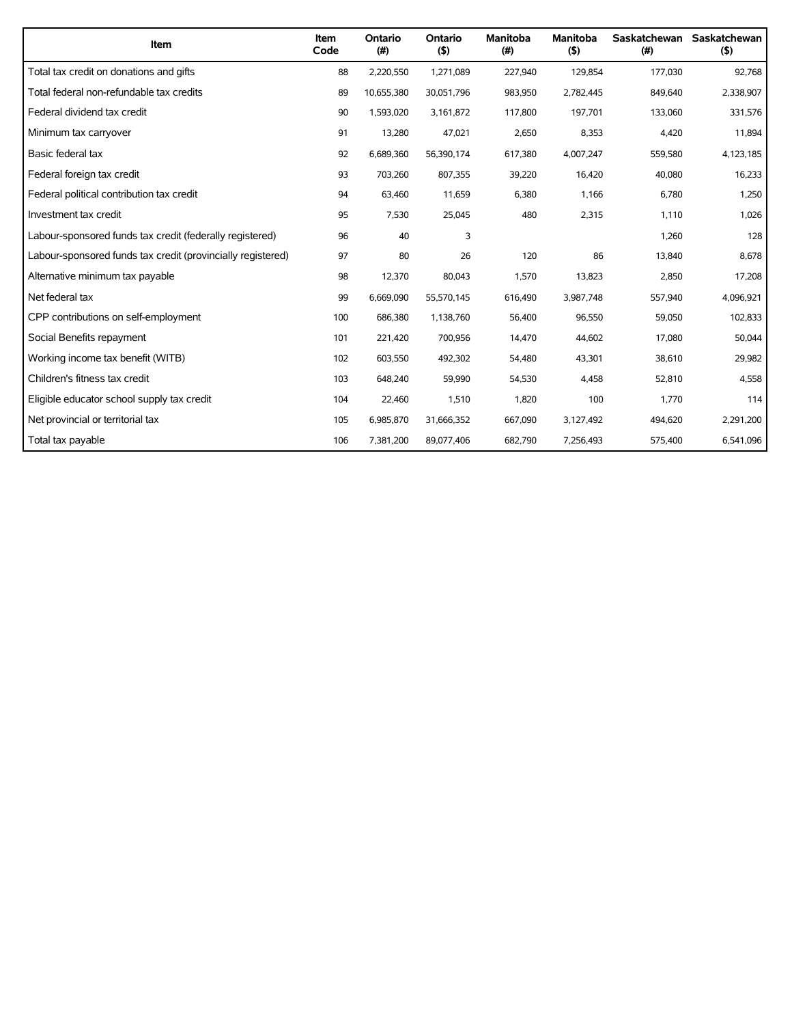| Item                                                        | Item<br>Code | Ontario<br>(# ) | Ontario<br>(5) | <b>Manitoba</b><br>(#) | <b>Manitoba</b><br>$($ \$) | (#)     | Saskatchewan Saskatchewan<br>(5) |
|-------------------------------------------------------------|--------------|-----------------|----------------|------------------------|----------------------------|---------|----------------------------------|
| Total tax credit on donations and gifts                     | 88           | 2,220,550       | 1,271,089      | 227,940                | 129,854                    | 177,030 | 92,768                           |
| Total federal non-refundable tax credits                    | 89           | 10,655,380      | 30,051,796     | 983,950                | 2,782,445                  | 849,640 | 2,338,907                        |
| Federal dividend tax credit                                 | 90           | 1,593,020       | 3,161,872      | 117,800                | 197,701                    | 133,060 | 331,576                          |
| Minimum tax carryover                                       | 91           | 13,280          | 47,021         | 2,650                  | 8,353                      | 4,420   | 11,894                           |
| Basic federal tax                                           | 92           | 6,689,360       | 56,390,174     | 617,380                | 4,007,247                  | 559,580 | 4,123,185                        |
| Federal foreign tax credit                                  | 93           | 703,260         | 807,355        | 39,220                 | 16,420                     | 40,080  | 16,233                           |
| Federal political contribution tax credit                   | 94           | 63,460          | 11,659         | 6,380                  | 1,166                      | 6,780   | 1,250                            |
| Investment tax credit                                       | 95           | 7,530           | 25,045         | 480                    | 2,315                      | 1,110   | 1,026                            |
| Labour-sponsored funds tax credit (federally registered)    | 96           | 40              | 3              |                        |                            | 1,260   | 128                              |
| Labour-sponsored funds tax credit (provincially registered) | 97           | 80              | 26             | 120                    | 86                         | 13,840  | 8,678                            |
| Alternative minimum tax payable                             | 98           | 12,370          | 80,043         | 1,570                  | 13,823                     | 2,850   | 17,208                           |
| Net federal tax                                             | 99           | 6,669,090       | 55,570,145     | 616,490                | 3,987,748                  | 557,940 | 4,096,921                        |
| CPP contributions on self-employment                        | 100          | 686,380         | 1,138,760      | 56,400                 | 96,550                     | 59,050  | 102,833                          |
| Social Benefits repayment                                   | 101          | 221,420         | 700,956        | 14,470                 | 44,602                     | 17,080  | 50,044                           |
| Working income tax benefit (WITB)                           | 102          | 603,550         | 492,302        | 54,480                 | 43,301                     | 38,610  | 29,982                           |
| Children's fitness tax credit                               | 103          | 648,240         | 59,990         | 54,530                 | 4,458                      | 52,810  | 4,558                            |
| Eligible educator school supply tax credit                  | 104          | 22,460          | 1,510          | 1,820                  | 100                        | 1,770   | 114                              |
| Net provincial or territorial tax                           | 105          | 6,985,870       | 31,666,352     | 667,090                | 3,127,492                  | 494,620 | 2,291,200                        |
| Total tax payable                                           | 106          | 7,381,200       | 89,077,406     | 682,790                | 7,256,493                  | 575,400 | 6,541,096                        |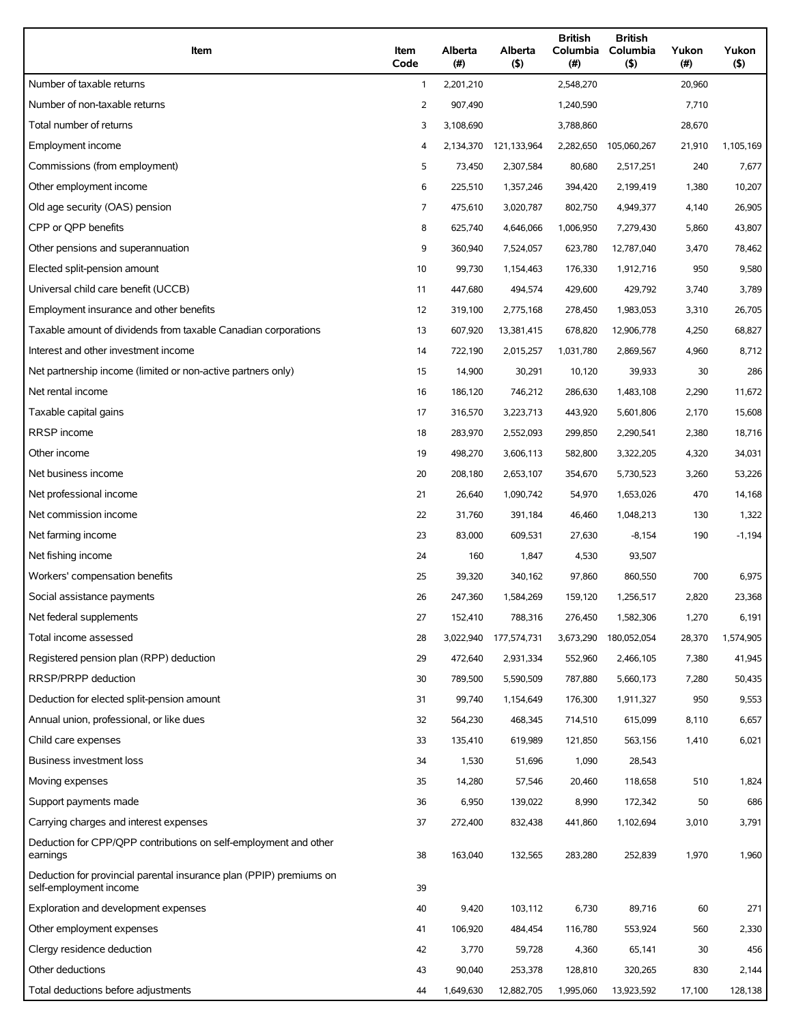| Item                                                                                          | Item<br>Code | Alberta<br>(# ) | Alberta<br>(5) | <b>British</b><br>Columbia<br>$(\#)$ | <b>British</b><br>Columbia<br>$($ \$) | Yukon<br>(#) | Yukon<br>$($ \$) |
|-----------------------------------------------------------------------------------------------|--------------|-----------------|----------------|--------------------------------------|---------------------------------------|--------------|------------------|
| Number of taxable returns                                                                     | $\mathbf{1}$ | 2,201,210       |                | 2,548,270                            |                                       | 20,960       |                  |
| Number of non-taxable returns                                                                 | 2            | 907,490         |                | 1,240,590                            |                                       | 7,710        |                  |
| Total number of returns                                                                       | 3            | 3,108,690       |                | 3,788,860                            |                                       | 28,670       |                  |
| Employment income                                                                             | 4            | 2,134,370       | 121,133,964    | 2,282,650                            | 105,060,267                           | 21,910       | 1,105,169        |
| Commissions (from employment)                                                                 | 5            | 73,450          | 2,307,584      | 80,680                               | 2,517,251                             | 240          | 7,677            |
| Other employment income                                                                       | 6            | 225,510         | 1,357,246      | 394,420                              | 2,199,419                             | 1,380        | 10,207           |
| Old age security (OAS) pension                                                                | 7            | 475,610         | 3,020,787      | 802,750                              | 4,949,377                             | 4,140        | 26,905           |
| CPP or QPP benefits                                                                           | 8            | 625,740         | 4,646,066      | 1,006,950                            | 7,279,430                             | 5,860        | 43,807           |
| Other pensions and superannuation                                                             | 9            | 360,940         | 7,524,057      | 623,780                              | 12,787,040                            | 3,470        | 78,462           |
| Elected split-pension amount                                                                  | 10           | 99,730          | 1,154,463      | 176,330                              | 1,912,716                             | 950          | 9,580            |
| Universal child care benefit (UCCB)                                                           | 11           | 447,680         | 494,574        | 429,600                              | 429,792                               | 3,740        | 3,789            |
| Employment insurance and other benefits                                                       | 12           | 319,100         | 2,775,168      | 278,450                              | 1,983,053                             | 3,310        | 26,705           |
| Taxable amount of dividends from taxable Canadian corporations                                | 13           | 607,920         | 13,381,415     | 678,820                              | 12,906,778                            | 4,250        | 68,827           |
| Interest and other investment income                                                          | 14           | 722,190         | 2,015,257      | 1,031,780                            | 2,869,567                             | 4,960        | 8,712            |
| Net partnership income (limited or non-active partners only)                                  | 15           | 14,900          | 30,291         | 10,120                               | 39,933                                | 30           | 286              |
| Net rental income                                                                             | 16           | 186,120         | 746,212        | 286,630                              | 1,483,108                             | 2,290        | 11,672           |
| Taxable capital gains                                                                         | 17           | 316,570         | 3,223,713      | 443,920                              | 5,601,806                             | 2,170        | 15,608           |
| <b>RRSP</b> income                                                                            | 18           | 283,970         | 2,552,093      | 299,850                              | 2,290,541                             | 2,380        | 18,716           |
| Other income                                                                                  | 19           | 498,270         | 3,606,113      | 582,800                              | 3,322,205                             | 4,320        | 34,031           |
| Net business income                                                                           | 20           | 208,180         | 2,653,107      | 354,670                              | 5,730,523                             | 3,260        | 53,226           |
| Net professional income                                                                       | 21           | 26,640          | 1,090,742      | 54,970                               | 1,653,026                             | 470          | 14,168           |
| Net commission income                                                                         | 22           | 31,760          | 391,184        | 46,460                               | 1,048,213                             | 130          | 1,322            |
| Net farming income                                                                            | 23           | 83,000          | 609,531        | 27,630                               | $-8,154$                              | 190          | $-1,194$         |
| Net fishing income                                                                            | 24           | 160             | 1,847          | 4,530                                | 93,507                                |              |                  |
| Workers' compensation benefits                                                                | 25           | 39,320          | 340,162        | 97,860                               | 860,550                               | 700          | 6,975            |
| Social assistance payments                                                                    | 26           | 247,360         | 1,584,269      | 159,120                              | 1,256,517                             | 2,820        | 23,368           |
| Net federal supplements                                                                       | 27           | 152,410         | 788,316        | 276,450                              | 1,582,306                             | 1,270        | 6,191            |
| Total income assessed                                                                         | 28           | 3,022,940       | 177,574,731    | 3,673,290                            | 180,052,054                           | 28,370       | 1,574,905        |
| Registered pension plan (RPP) deduction                                                       | 29           | 472,640         | 2,931,334      | 552,960                              | 2,466,105                             | 7,380        | 41,945           |
| RRSP/PRPP deduction                                                                           | 30           | 789,500         | 5,590,509      | 787,880                              | 5,660,173                             | 7,280        | 50,435           |
| Deduction for elected split-pension amount                                                    | 31           | 99,740          | 1,154,649      | 176,300                              | 1,911,327                             | 950          | 9,553            |
| Annual union, professional, or like dues                                                      | 32           | 564,230         | 468,345        | 714,510                              | 615,099                               | 8,110        | 6,657            |
| Child care expenses                                                                           | 33           | 135,410         | 619,989        | 121,850                              | 563,156                               | 1,410        | 6,021            |
| Business investment loss                                                                      | 34           | 1,530           | 51,696         | 1,090                                | 28,543                                |              |                  |
| Moving expenses                                                                               | 35           | 14,280          | 57,546         | 20,460                               | 118,658                               | 510          | 1,824            |
| Support payments made                                                                         | 36           | 6,950           | 139,022        | 8,990                                | 172,342                               | 50           | 686              |
| Carrying charges and interest expenses                                                        | 37           | 272,400         | 832,438        | 441,860                              | 1,102,694                             | 3,010        | 3,791            |
| Deduction for CPP/QPP contributions on self-employment and other<br>earnings                  | 38           | 163,040         | 132,565        | 283,280                              | 252,839                               | 1,970        | 1,960            |
| Deduction for provincial parental insurance plan (PPIP) premiums on<br>self-employment income | 39           |                 |                |                                      |                                       |              |                  |
| Exploration and development expenses                                                          | 40           | 9,420           | 103,112        | 6,730                                | 89,716                                | 60           | 271              |
| Other employment expenses                                                                     | 41           | 106,920         | 484,454        | 116,780                              | 553,924                               | 560          | 2,330            |
| Clergy residence deduction                                                                    | 42           | 3,770           | 59,728         | 4,360                                | 65,141                                | 30           | 456              |
| Other deductions                                                                              | 43           | 90,040          | 253,378        | 128,810                              | 320,265                               | 830          | 2,144            |
| Total deductions before adjustments                                                           | 44           | 1,649,630       | 12,882,705     | 1,995,060                            | 13,923,592                            | 17,100       | 128,138          |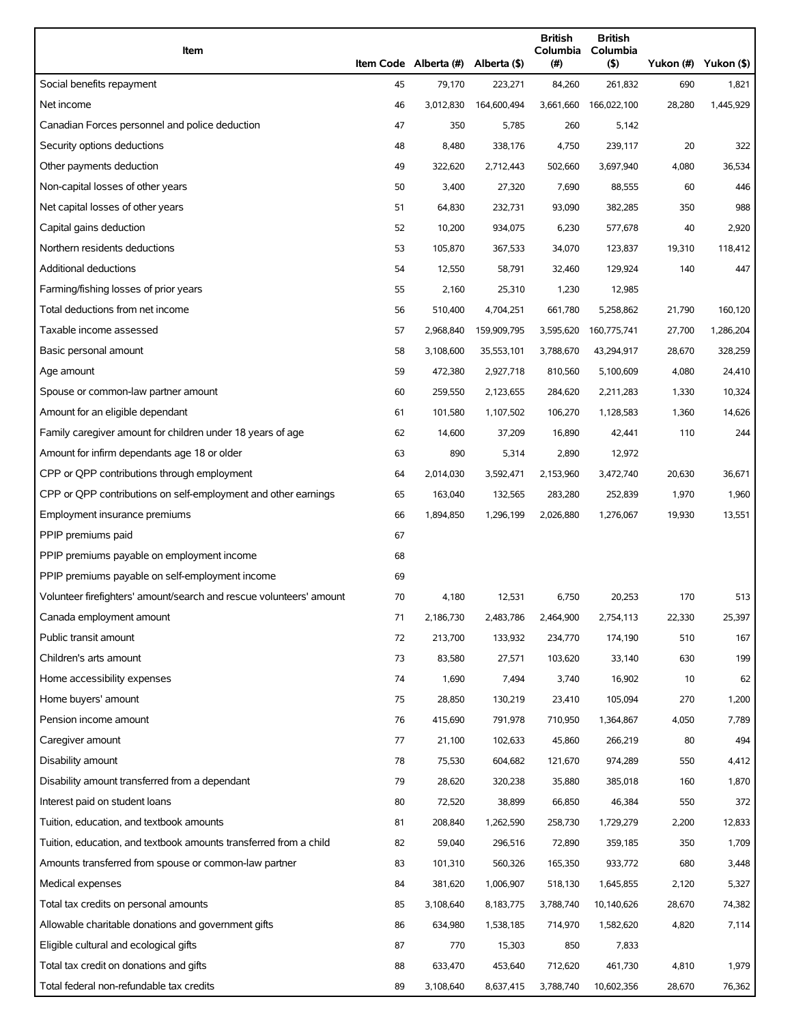| Item                                                                |    | Item Code Alberta (#) | Alberta (\$) | <b>British</b><br>Columbia<br>(#) | <b>British</b><br>Columbia<br>(5) | Yukon (#) Yukon (\$) |           |
|---------------------------------------------------------------------|----|-----------------------|--------------|-----------------------------------|-----------------------------------|----------------------|-----------|
| Social benefits repayment                                           | 45 | 79,170                | 223,271      | 84,260                            | 261,832                           | 690                  | 1,821     |
| Net income                                                          | 46 | 3,012,830             | 164,600,494  | 3,661,660                         | 166,022,100                       | 28,280               | 1,445,929 |
| Canadian Forces personnel and police deduction                      | 47 | 350                   | 5,785        | 260                               | 5,142                             |                      |           |
| Security options deductions                                         | 48 | 8,480                 | 338,176      | 4,750                             | 239,117                           | 20                   | 322       |
| Other payments deduction                                            | 49 | 322,620               | 2,712,443    | 502,660                           | 3,697,940                         | 4,080                | 36,534    |
| Non-capital losses of other years                                   | 50 | 3,400                 | 27,320       | 7,690                             | 88,555                            | 60                   | 446       |
| Net capital losses of other years                                   | 51 | 64,830                | 232,731      | 93,090                            | 382,285                           | 350                  | 988       |
| Capital gains deduction                                             | 52 | 10,200                | 934,075      | 6,230                             | 577,678                           | 40                   | 2,920     |
| Northern residents deductions                                       | 53 | 105,870               | 367,533      | 34,070                            | 123,837                           | 19,310               | 118,412   |
| <b>Additional deductions</b>                                        | 54 | 12,550                | 58,791       | 32,460                            | 129,924                           | 140                  | 447       |
| Farming/fishing losses of prior years                               | 55 | 2,160                 | 25,310       | 1,230                             | 12,985                            |                      |           |
| Total deductions from net income                                    | 56 | 510,400               | 4,704,251    | 661,780                           | 5,258,862                         | 21,790               | 160,120   |
| Taxable income assessed                                             | 57 | 2,968,840             | 159,909,795  | 3,595,620                         | 160,775,741                       | 27,700               | 1,286,204 |
| Basic personal amount                                               | 58 | 3,108,600             | 35,553,101   | 3,788,670                         | 43,294,917                        | 28,670               | 328,259   |
| Age amount                                                          | 59 | 472,380               | 2,927,718    | 810,560                           | 5,100,609                         | 4,080                | 24,410    |
| Spouse or common-law partner amount                                 | 60 | 259,550               | 2,123,655    | 284,620                           | 2,211,283                         | 1,330                | 10,324    |
| Amount for an eligible dependant                                    | 61 | 101,580               | 1,107,502    | 106,270                           | 1,128,583                         | 1,360                | 14,626    |
| Family caregiver amount for children under 18 years of age          | 62 | 14,600                | 37,209       | 16,890                            | 42,441                            | 110                  | 244       |
| Amount for infirm dependants age 18 or older                        | 63 | 890                   | 5,314        | 2,890                             | 12,972                            |                      |           |
| CPP or QPP contributions through employment                         | 64 | 2,014,030             | 3,592,471    | 2,153,960                         | 3,472,740                         | 20,630               | 36,671    |
| CPP or QPP contributions on self-employment and other earnings      | 65 | 163,040               | 132,565      | 283,280                           | 252,839                           | 1,970                | 1,960     |
| Employment insurance premiums                                       | 66 | 1,894,850             | 1,296,199    | 2,026,880                         | 1,276,067                         | 19,930               | 13,551    |
| PPIP premiums paid                                                  | 67 |                       |              |                                   |                                   |                      |           |
| PPIP premiums payable on employment income                          | 68 |                       |              |                                   |                                   |                      |           |
| PPIP premiums payable on self-employment income                     | 69 |                       |              |                                   |                                   |                      |           |
| Volunteer firefighters' amount/search and rescue volunteers' amount | 70 | 4,180                 | 12,531       | 6,750                             | 20,253                            | 170                  | 513       |
| Canada employment amount                                            | 71 | 2,186,730             | 2,483,786    | 2,464,900                         | 2,754,113                         | 22,330               | 25,397    |
| Public transit amount                                               | 72 | 213,700               | 133,932      | 234,770                           | 174,190                           | 510                  | 167       |
| Children's arts amount                                              | 73 | 83,580                | 27,571       | 103,620                           | 33,140                            | 630                  | 199       |
| Home accessibility expenses                                         | 74 | 1,690                 | 7,494        | 3,740                             | 16,902                            | 10                   | 62        |
| Home buyers' amount                                                 | 75 | 28,850                | 130,219      | 23,410                            | 105,094                           | 270                  | 1,200     |
| Pension income amount                                               | 76 | 415,690               | 791,978      | 710,950                           | 1,364,867                         | 4,050                | 7,789     |
| Caregiver amount                                                    | 77 | 21,100                | 102,633      | 45,860                            | 266,219                           | 80                   | 494       |
| Disability amount                                                   | 78 | 75,530                | 604,682      | 121,670                           | 974,289                           | 550                  | 4,412     |
| Disability amount transferred from a dependant                      | 79 | 28,620                | 320,238      | 35,880                            | 385,018                           | 160                  | 1,870     |
| Interest paid on student loans                                      | 80 | 72,520                | 38,899       | 66,850                            | 46,384                            | 550                  | 372       |
| Tuition, education, and textbook amounts                            | 81 | 208,840               | 1,262,590    | 258,730                           | 1,729,279                         | 2,200                | 12,833    |
| Tuition, education, and textbook amounts transferred from a child   | 82 | 59,040                | 296,516      | 72,890                            | 359,185                           | 350                  | 1,709     |
| Amounts transferred from spouse or common-law partner               | 83 | 101,310               | 560,326      | 165,350                           | 933,772                           | 680                  | 3,448     |
| Medical expenses                                                    | 84 | 381,620               | 1,006,907    | 518,130                           | 1,645,855                         | 2,120                | 5,327     |
| Total tax credits on personal amounts                               | 85 | 3,108,640             | 8,183,775    | 3,788,740                         | 10,140,626                        | 28,670               | 74,382    |
| Allowable charitable donations and government gifts                 | 86 | 634,980               | 1,538,185    | 714,970                           | 1,582,620                         | 4,820                | 7,114     |
| Eligible cultural and ecological gifts                              | 87 | 770                   | 15,303       | 850                               | 7,833                             |                      |           |
| Total tax credit on donations and gifts                             | 88 | 633,470               | 453,640      | 712,620                           | 461,730                           | 4,810                | 1,979     |
| Total federal non-refundable tax credits                            | 89 | 3,108,640             | 8,637,415    | 3,788,740                         | 10,602,356                        | 28,670               | 76,362    |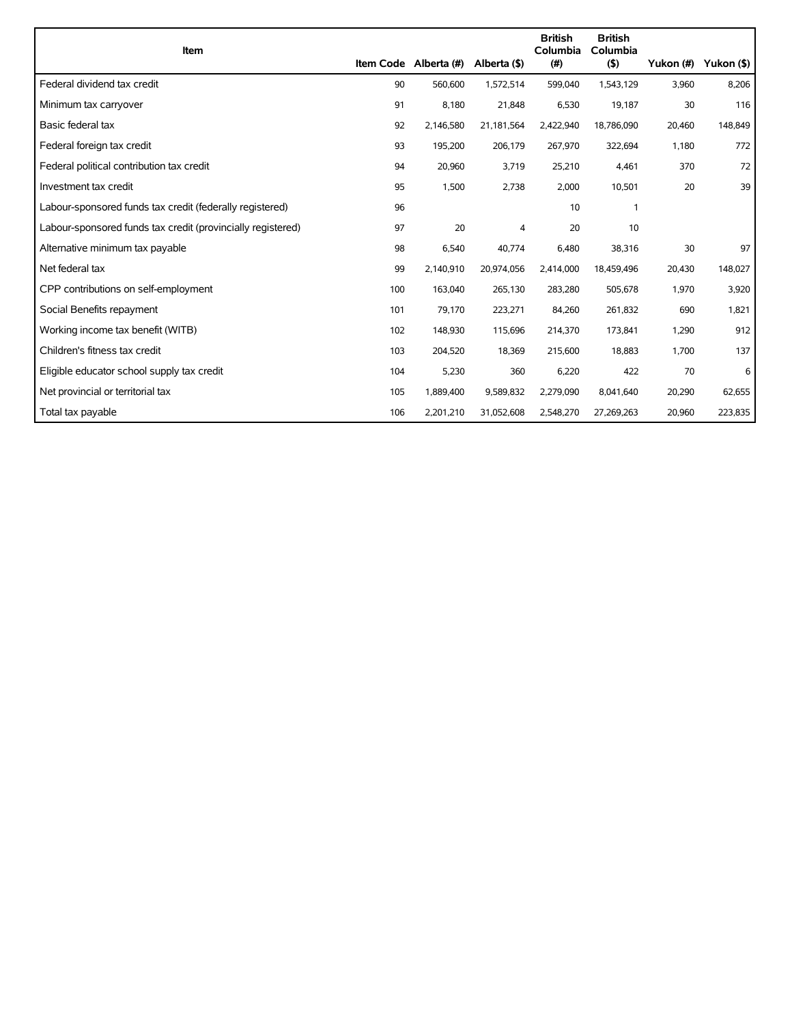| Item                                                        |     |                       |              | <b>British</b><br>Columbia | <b>British</b><br>Columbia |           |            |
|-------------------------------------------------------------|-----|-----------------------|--------------|----------------------------|----------------------------|-----------|------------|
|                                                             |     | Item Code Alberta (#) | Alberta (\$) | (# )                       | $($ \$)                    | Yukon (#) | Yukon (\$) |
| Federal dividend tax credit                                 | 90  | 560,600               | 1,572,514    | 599,040                    | 1,543,129                  | 3,960     | 8,206      |
| Minimum tax carryover                                       | 91  | 8,180                 | 21,848       | 6,530                      | 19,187                     | 30        | 116        |
| Basic federal tax                                           | 92  | 2,146,580             | 21,181,564   | 2,422,940                  | 18,786,090                 | 20,460    | 148,849    |
| Federal foreign tax credit                                  | 93  | 195,200               | 206,179      | 267,970                    | 322,694                    | 1,180     | 772        |
| Federal political contribution tax credit                   | 94  | 20,960                | 3,719        | 25,210                     | 4,461                      | 370       | 72         |
| Investment tax credit                                       | 95  | 1,500                 | 2,738        | 2,000                      | 10,501                     | 20        | 39         |
| Labour-sponsored funds tax credit (federally registered)    | 96  |                       |              | 10                         | $\mathbf{1}$               |           |            |
| Labour-sponsored funds tax credit (provincially registered) | 97  | 20                    | 4            | 20                         | 10                         |           |            |
| Alternative minimum tax payable                             | 98  | 6,540                 | 40,774       | 6,480                      | 38,316                     | 30        | 97         |
| Net federal tax                                             | 99  | 2,140,910             | 20,974,056   | 2,414,000                  | 18,459,496                 | 20,430    | 148,027    |
| CPP contributions on self-employment                        | 100 | 163,040               | 265,130      | 283,280                    | 505,678                    | 1,970     | 3,920      |
| Social Benefits repayment                                   | 101 | 79,170                | 223,271      | 84,260                     | 261,832                    | 690       | 1,821      |
| Working income tax benefit (WITB)                           | 102 | 148,930               | 115,696      | 214,370                    | 173,841                    | 1,290     | 912        |
| Children's fitness tax credit                               | 103 | 204,520               | 18,369       | 215,600                    | 18,883                     | 1,700     | 137        |
| Eligible educator school supply tax credit                  | 104 | 5,230                 | 360          | 6,220                      | 422                        | 70        | 6          |
| Net provincial or territorial tax                           | 105 | 1,889,400             | 9,589,832    | 2,279,090                  | 8,041,640                  | 20,290    | 62,655     |
| Total tax payable                                           | 106 | 2,201,210             | 31,052,608   | 2,548,270                  | 27,269,263                 | 20,960    | 223,835    |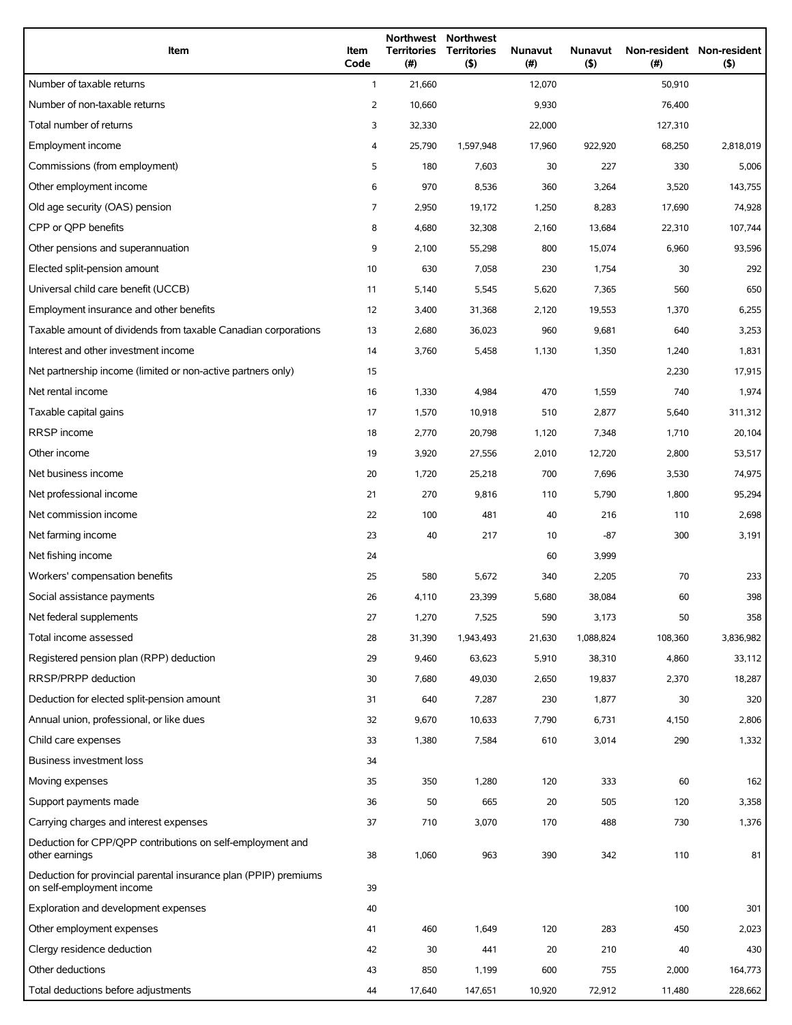| Item                                                                                          | Item<br>Code | <b>Territories</b><br>(#) | Northwest Northwest<br><b>Territories</b><br>(5) | <b>Nunavut</b><br>$(\#)$ | Nunavut<br>$($ \$) | (# )    | Non-resident Non-resident<br>(5) |
|-----------------------------------------------------------------------------------------------|--------------|---------------------------|--------------------------------------------------|--------------------------|--------------------|---------|----------------------------------|
| Number of taxable returns                                                                     | $\mathbf{1}$ | 21,660                    |                                                  | 12,070                   |                    | 50,910  |                                  |
| Number of non-taxable returns                                                                 | 2            | 10,660                    |                                                  | 9,930                    |                    | 76,400  |                                  |
| Total number of returns                                                                       | 3            | 32,330                    |                                                  | 22,000                   |                    | 127,310 |                                  |
| Employment income                                                                             | 4            | 25,790                    | 1,597,948                                        | 17,960                   | 922,920            | 68,250  | 2,818,019                        |
| Commissions (from employment)                                                                 | 5            | 180                       | 7,603                                            | 30                       | 227                | 330     | 5,006                            |
| Other employment income                                                                       | 6            | 970                       | 8,536                                            | 360                      | 3,264              | 3,520   | 143,755                          |
| Old age security (OAS) pension                                                                | 7            | 2,950                     | 19,172                                           | 1,250                    | 8,283              | 17,690  | 74,928                           |
| CPP or OPP benefits                                                                           | 8            | 4,680                     | 32,308                                           | 2,160                    | 13,684             | 22,310  | 107,744                          |
| Other pensions and superannuation                                                             | 9            | 2,100                     | 55,298                                           | 800                      | 15,074             | 6,960   | 93,596                           |
| Elected split-pension amount                                                                  | 10           | 630                       | 7,058                                            | 230                      | 1,754              | 30      | 292                              |
| Universal child care benefit (UCCB)                                                           | 11           | 5,140                     | 5,545                                            | 5,620                    | 7,365              | 560     | 650                              |
| Employment insurance and other benefits                                                       | 12           | 3,400                     | 31,368                                           | 2,120                    | 19,553             | 1,370   | 6,255                            |
| Taxable amount of dividends from taxable Canadian corporations                                | 13           | 2,680                     | 36,023                                           | 960                      | 9,681              | 640     | 3,253                            |
| Interest and other investment income                                                          | 14           | 3,760                     | 5,458                                            | 1,130                    | 1,350              | 1,240   | 1,831                            |
| Net partnership income (limited or non-active partners only)                                  | 15           |                           |                                                  |                          |                    | 2,230   | 17,915                           |
| Net rental income                                                                             | 16           | 1,330                     | 4,984                                            | 470                      | 1,559              | 740     | 1,974                            |
| Taxable capital gains                                                                         | 17           | 1,570                     | 10,918                                           | 510                      | 2,877              | 5,640   | 311,312                          |
| RRSP income                                                                                   | 18           | 2,770                     | 20,798                                           | 1,120                    | 7,348              | 1,710   | 20,104                           |
| Other income                                                                                  | 19           | 3,920                     | 27,556                                           | 2,010                    | 12,720             | 2,800   | 53,517                           |
| Net business income                                                                           | 20           | 1,720                     | 25,218                                           | 700                      | 7,696              | 3,530   | 74,975                           |
| Net professional income                                                                       | 21           | 270                       | 9,816                                            | 110                      | 5,790              | 1,800   | 95,294                           |
| Net commission income                                                                         | 22           | 100                       | 481                                              | 40                       | 216                | 110     | 2,698                            |
| Net farming income                                                                            | 23           | 40                        | 217                                              | 10                       | $-87$              | 300     | 3,191                            |
| Net fishing income                                                                            | 24           |                           |                                                  | 60                       | 3,999              |         |                                  |
| Workers' compensation benefits                                                                | 25           | 580                       | 5,672                                            | 340                      | 2,205              | 70      | 233                              |
| Social assistance payments                                                                    | 26           | 4,110                     | 23,399                                           | 5,680                    | 38,084             | 60      | 398                              |
| Net federal supplements                                                                       | 27           | 1,270                     | 7,525                                            | 590                      | 3,173              | 50      | 358                              |
| Total income assessed                                                                         | 28           | 31,390                    | 1,943,493                                        | 21,630                   | 1,088,824          | 108,360 | 3,836,982                        |
| Registered pension plan (RPP) deduction                                                       | 29           | 9,460                     | 63,623                                           | 5,910                    | 38,310             | 4,860   | 33,112                           |
| RRSP/PRPP deduction                                                                           | 30           | 7,680                     | 49,030                                           | 2,650                    | 19,837             | 2,370   | 18,287                           |
| Deduction for elected split-pension amount                                                    | 31           | 640                       | 7,287                                            | 230                      | 1,877              | 30      | 320                              |
| Annual union, professional, or like dues                                                      | 32           | 9,670                     | 10,633                                           | 7,790                    | 6,731              | 4,150   | 2,806                            |
| Child care expenses                                                                           | 33           | 1,380                     | 7,584                                            | 610                      | 3,014              | 290     | 1,332                            |
| Business investment loss                                                                      | 34           |                           |                                                  |                          |                    |         |                                  |
| Moving expenses                                                                               | 35           | 350                       | 1,280                                            | 120                      | 333                | 60      | 162                              |
| Support payments made                                                                         | 36           | 50                        | 665                                              | 20                       | 505                | 120     | 3,358                            |
| Carrying charges and interest expenses                                                        | 37           | 710                       | 3,070                                            | 170                      | 488                | 730     | 1,376                            |
| Deduction for CPP/QPP contributions on self-employment and<br>other earnings                  | 38           | 1,060                     | 963                                              | 390                      | 342                | 110     | 81                               |
| Deduction for provincial parental insurance plan (PPIP) premiums<br>on self-employment income | 39           |                           |                                                  |                          |                    |         |                                  |
| Exploration and development expenses                                                          | 40           |                           |                                                  |                          |                    | 100     | 301                              |
| Other employment expenses                                                                     | 41           | 460                       | 1,649                                            | 120                      | 283                | 450     | 2,023                            |
| Clergy residence deduction                                                                    | 42           | 30                        | 441                                              | 20                       | 210                | 40      | 430                              |
| Other deductions                                                                              | 43           | 850                       | 1,199                                            | 600                      | 755                | 2,000   | 164,773                          |
| Total deductions before adjustments                                                           | 44           | 17,640                    | 147,651                                          | 10,920                   | 72,912             | 11,480  | 228,662                          |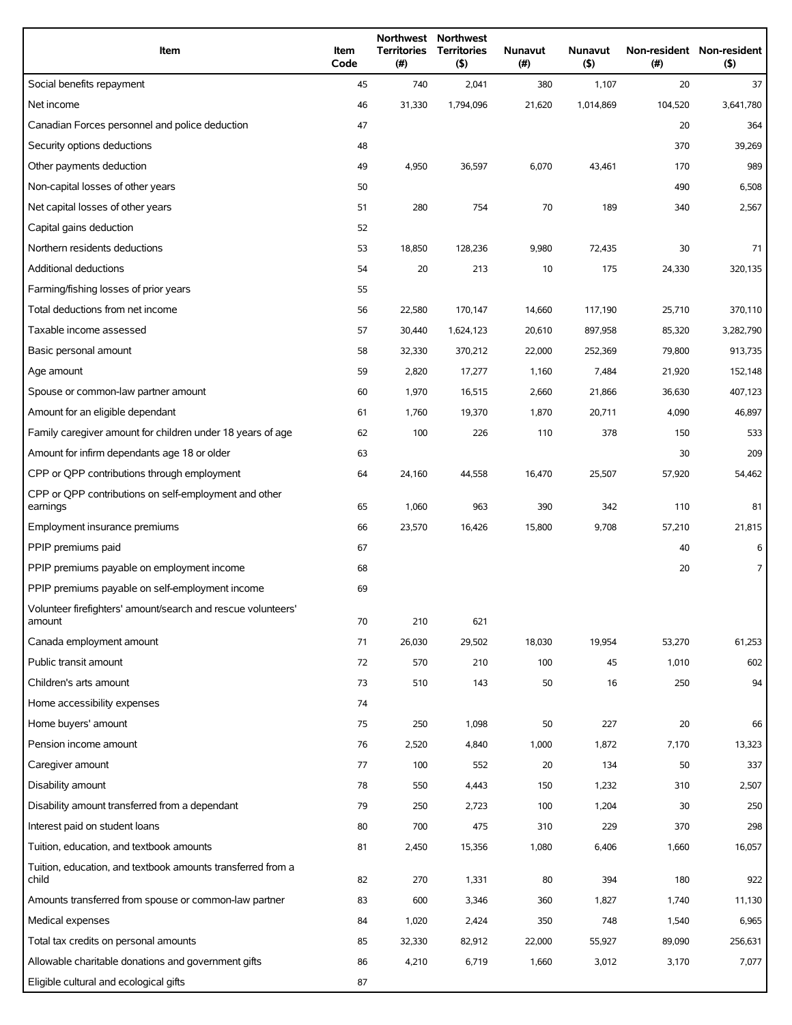| Item                                                                   | Item<br>Code | <b>Territories</b><br>(#) | Northwest Northwest<br><b>Territories</b><br>(5) | Nunavut<br>(#) | Nunavut<br>$($ \$) | (# )    | Non-resident Non-resident<br>(5) |
|------------------------------------------------------------------------|--------------|---------------------------|--------------------------------------------------|----------------|--------------------|---------|----------------------------------|
| Social benefits repayment                                              | 45           | 740                       | 2,041                                            | 380            | 1,107              | 20      | 37                               |
| Net income                                                             | 46           | 31,330                    | 1,794,096                                        | 21,620         | 1,014,869          | 104,520 | 3,641,780                        |
| Canadian Forces personnel and police deduction                         | 47           |                           |                                                  |                |                    | 20      | 364                              |
| Security options deductions                                            | 48           |                           |                                                  |                |                    | 370     | 39,269                           |
| Other payments deduction                                               | 49           | 4,950                     | 36,597                                           | 6,070          | 43,461             | 170     | 989                              |
| Non-capital losses of other years                                      | 50           |                           |                                                  |                |                    | 490     | 6,508                            |
| Net capital losses of other years                                      | 51           | 280                       | 754                                              | 70             | 189                | 340     | 2,567                            |
| Capital gains deduction                                                | 52           |                           |                                                  |                |                    |         |                                  |
| Northern residents deductions                                          | 53           | 18,850                    | 128,236                                          | 9,980          | 72,435             | 30      | 71                               |
| Additional deductions                                                  | 54           | 20                        | 213                                              | 10             | 175                | 24,330  | 320,135                          |
| Farming/fishing losses of prior years                                  | 55           |                           |                                                  |                |                    |         |                                  |
| Total deductions from net income                                       | 56           | 22,580                    | 170,147                                          | 14,660         | 117,190            | 25,710  | 370,110                          |
| Taxable income assessed                                                | 57           | 30,440                    | 1,624,123                                        | 20,610         | 897,958            | 85,320  | 3,282,790                        |
| Basic personal amount                                                  | 58           | 32,330                    | 370,212                                          | 22,000         | 252,369            | 79,800  | 913,735                          |
| Age amount                                                             | 59           | 2,820                     | 17,277                                           | 1,160          | 7,484              | 21,920  | 152,148                          |
| Spouse or common-law partner amount                                    | 60           | 1,970                     | 16,515                                           | 2,660          | 21,866             | 36,630  | 407,123                          |
| Amount for an eligible dependant                                       | 61           | 1,760                     | 19,370                                           | 1,870          | 20,711             | 4,090   | 46,897                           |
| Family caregiver amount for children under 18 years of age             | 62           | 100                       | 226                                              | 110            | 378                | 150     | 533                              |
| Amount for infirm dependants age 18 or older                           | 63           |                           |                                                  |                |                    | 30      | 209                              |
| CPP or QPP contributions through employment                            | 64           | 24,160                    | 44,558                                           | 16,470         | 25,507             | 57,920  | 54,462                           |
| CPP or QPP contributions on self-employment and other<br>earnings      | 65           | 1,060                     | 963                                              | 390            | 342                | 110     | 81                               |
| Employment insurance premiums                                          | 66           | 23,570                    | 16,426                                           | 15,800         | 9,708              | 57,210  | 21,815                           |
| PPIP premiums paid                                                     | 67           |                           |                                                  |                |                    | 40      | 6                                |
| PPIP premiums payable on employment income                             | 68           |                           |                                                  |                |                    | 20      | 7                                |
| PPIP premiums payable on self-employment income                        | 69           |                           |                                                  |                |                    |         |                                  |
| Volunteer firefighters' amount/search and rescue volunteers'<br>amount | 70           | 210                       | 621                                              |                |                    |         |                                  |
| Canada employment amount                                               | 71           | 26,030                    | 29,502                                           | 18,030         | 19,954             | 53,270  | 61,253                           |
| Public transit amount                                                  | 72           | 570                       | 210                                              | 100            | 45                 | 1,010   | 602                              |
| Children's arts amount                                                 | 73           | 510                       | 143                                              | 50             | 16                 | 250     | 94                               |
| Home accessibility expenses                                            | 74           |                           |                                                  |                |                    |         |                                  |
| Home buyers' amount                                                    | 75           | 250                       | 1,098                                            | 50             | 227                | 20      | 66                               |
| Pension income amount                                                  | 76           | 2,520                     | 4,840                                            | 1,000          | 1,872              | 7,170   | 13,323                           |
| Caregiver amount                                                       | 77           | 100                       | 552                                              | 20             | 134                | 50      | 337                              |
| Disability amount                                                      | 78           | 550                       | 4,443                                            | 150            | 1,232              | 310     | 2,507                            |
| Disability amount transferred from a dependant                         | 79           | 250                       | 2,723                                            | 100            | 1,204              | 30      | 250                              |
| Interest paid on student loans                                         | 80           | 700                       | 475                                              | 310            | 229                | 370     | 298                              |
| Tuition, education, and textbook amounts                               | 81           | 2,450                     | 15,356                                           | 1,080          | 6,406              | 1,660   | 16,057                           |
| Tuition, education, and textbook amounts transferred from a<br>child   | 82           | 270                       | 1,331                                            | 80             | 394                | 180     | 922                              |
| Amounts transferred from spouse or common-law partner                  | 83           | 600                       | 3,346                                            | 360            | 1,827              | 1,740   | 11,130                           |
| Medical expenses                                                       | 84           | 1,020                     | 2,424                                            | 350            | 748                | 1,540   | 6,965                            |
| Total tax credits on personal amounts                                  | 85           | 32,330                    | 82,912                                           | 22,000         | 55,927             | 89,090  | 256,631                          |
| Allowable charitable donations and government gifts                    | 86           | 4,210                     | 6,719                                            | 1,660          | 3,012              | 3,170   | 7,077                            |
| Eligible cultural and ecological gifts                                 | 87           |                           |                                                  |                |                    |         |                                  |